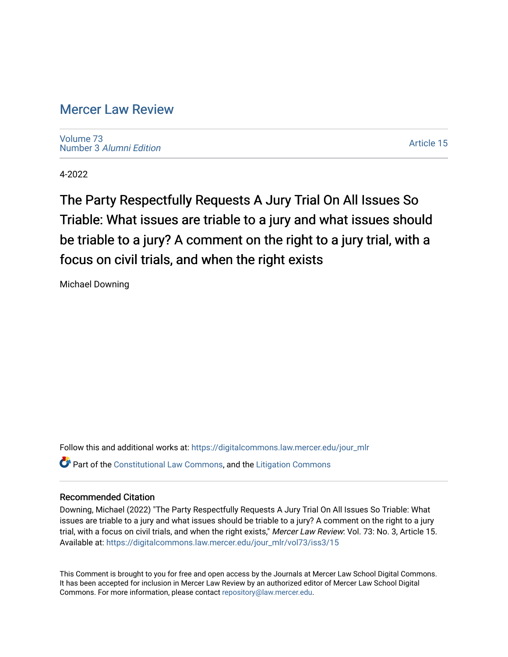# [Mercer Law Review](https://digitalcommons.law.mercer.edu/jour_mlr)

[Volume 73](https://digitalcommons.law.mercer.edu/jour_mlr/vol73) Number 3 [Alumni Edition](https://digitalcommons.law.mercer.edu/jour_mlr/vol73/iss3) 

[Article 15](https://digitalcommons.law.mercer.edu/jour_mlr/vol73/iss3/15) 

4-2022

The Party Respectfully Requests A Jury Trial On All Issues So Triable: What issues are triable to a jury and what issues should be triable to a jury? A comment on the right to a jury trial, with a focus on civil trials, and when the right exists

Michael Downing

Follow this and additional works at: [https://digitalcommons.law.mercer.edu/jour\\_mlr](https://digitalcommons.law.mercer.edu/jour_mlr?utm_source=digitalcommons.law.mercer.edu%2Fjour_mlr%2Fvol73%2Fiss3%2F15&utm_medium=PDF&utm_campaign=PDFCoverPages) Part of the [Constitutional Law Commons,](http://network.bepress.com/hgg/discipline/589?utm_source=digitalcommons.law.mercer.edu%2Fjour_mlr%2Fvol73%2Fiss3%2F15&utm_medium=PDF&utm_campaign=PDFCoverPages) and the [Litigation Commons](http://network.bepress.com/hgg/discipline/910?utm_source=digitalcommons.law.mercer.edu%2Fjour_mlr%2Fvol73%2Fiss3%2F15&utm_medium=PDF&utm_campaign=PDFCoverPages) 

## Recommended Citation

Downing, Michael (2022) "The Party Respectfully Requests A Jury Trial On All Issues So Triable: What issues are triable to a jury and what issues should be triable to a jury? A comment on the right to a jury trial, with a focus on civil trials, and when the right exists," Mercer Law Review: Vol. 73: No. 3, Article 15. Available at: [https://digitalcommons.law.mercer.edu/jour\\_mlr/vol73/iss3/15](https://digitalcommons.law.mercer.edu/jour_mlr/vol73/iss3/15?utm_source=digitalcommons.law.mercer.edu%2Fjour_mlr%2Fvol73%2Fiss3%2F15&utm_medium=PDF&utm_campaign=PDFCoverPages) 

This Comment is brought to you for free and open access by the Journals at Mercer Law School Digital Commons. It has been accepted for inclusion in Mercer Law Review by an authorized editor of Mercer Law School Digital Commons. For more information, please contact [repository@law.mercer.edu.](mailto:repository@law.mercer.edu)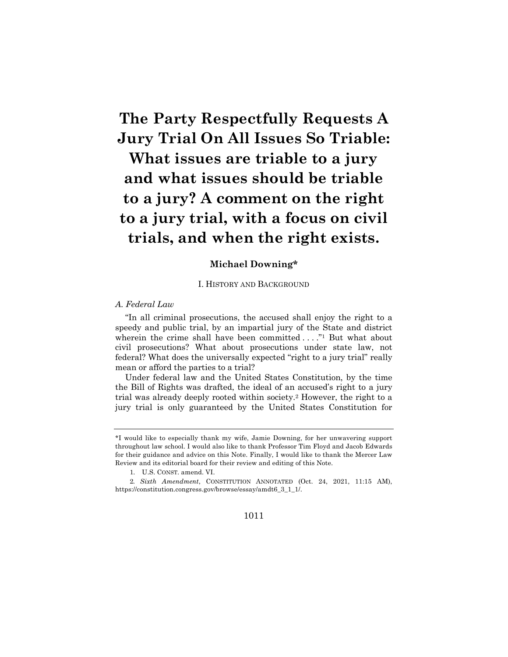# **The Party Respectfully Requests A Jury Trial On All Issues So Triable:**

**What issues are triable to a jury and what issues should be triable to a jury? A comment on the right to a jury trial, with a focus on civil trials, and when the right exists.**

## **Michael Downing\***

#### I. HISTORY AND BACKGROUND

#### *A. Federal Law*

"In all criminal prosecutions, the accused shall enjoy the right to a speedy and public trial, by an impartial jury of the State and district wherein the crime shall have been committed  $\dots$ ." But what about civil prosecutions? What about prosecutions under state law, not federal? What does the universally expected "right to a jury trial" really mean or afford the parties to a trial?

Under federal law and the United States Constitution, by the time the Bill of Rights was drafted, the ideal of an accused's right to a jury trial was already deeply rooted within society.2 However, the right to a jury trial is only guaranteed by the United States Constitution for

<sup>\*</sup>I would like to especially thank my wife, Jamie Downing, for her unwavering support throughout law school. I would also like to thank Professor Tim Floyd and Jacob Edwards for their guidance and advice on this Note. Finally, I would like to thank the Mercer Law Review and its editorial board for their review and editing of this Note.

<sup>1.</sup> U.S. CONST. amend. VI.

<sup>2</sup>*. Sixth Amendment*, CONSTITUTION ANNOTATED (Oct. 24, 2021, 11:15 AM), https://constitution.congress.gov/browse/essay/amdt6\_3\_1\_1/.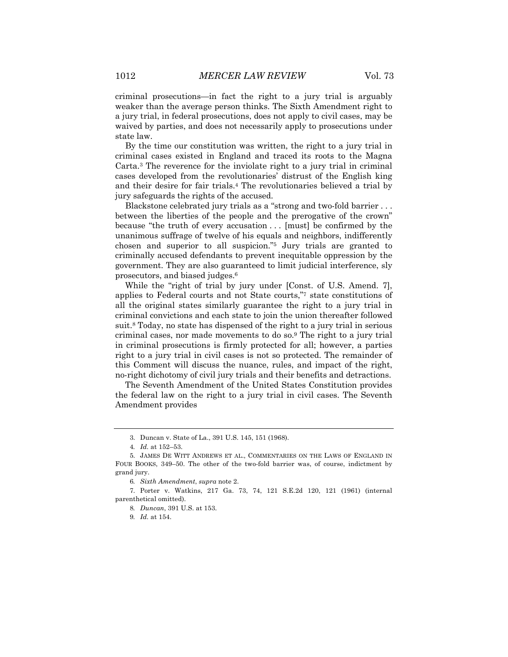criminal prosecutions—in fact the right to a jury trial is arguably weaker than the average person thinks. The Sixth Amendment right to a jury trial, in federal prosecutions, does not apply to civil cases, may be waived by parties, and does not necessarily apply to prosecutions under state law.

By the time our constitution was written, the right to a jury trial in criminal cases existed in England and traced its roots to the Magna Carta.3 The reverence for the inviolate right to a jury trial in criminal cases developed from the revolutionaries' distrust of the English king and their desire for fair trials.4 The revolutionaries believed a trial by jury safeguards the rights of the accused.

Blackstone celebrated jury trials as a "strong and two-fold barrier . . . between the liberties of the people and the prerogative of the crown" because "the truth of every accusation . . . [must] be confirmed by the unanimous suffrage of twelve of his equals and neighbors, indifferently chosen and superior to all suspicion."5 Jury trials are granted to criminally accused defendants to prevent inequitable oppression by the government. They are also guaranteed to limit judicial interference, sly prosecutors, and biased judges.6

While the "right of trial by jury under [Const. of U.S. Amend. 7], applies to Federal courts and not State courts,"7 state constitutions of all the original states similarly guarantee the right to a jury trial in criminal convictions and each state to join the union thereafter followed suit.8 Today, no state has dispensed of the right to a jury trial in serious criminal cases, nor made movements to do so.9 The right to a jury trial in criminal prosecutions is firmly protected for all; however, a parties right to a jury trial in civil cases is not so protected. The remainder of this Comment will discuss the nuance, rules, and impact of the right, no-right dichotomy of civil jury trials and their benefits and detractions.

The Seventh Amendment of the United States Constitution provides the federal law on the right to a jury trial in civil cases. The Seventh Amendment provides

<sup>3.</sup> Duncan v. State of La., 391 U.S. 145, 151 (1968).

<sup>4</sup>*. Id.* at 152–53.

<sup>5.</sup> JAMES DE WITT ANDREWS ET AL., COMMENTARIES ON THE LAWS OF ENGLAND IN FOUR BOOKS, 349–50. The other of the two-fold barrier was, of course, indictment by grand jury.

<sup>6</sup>*. Sixth Amendment*, *supra* note 2.

<sup>7.</sup> Porter v. Watkins, 217 Ga. 73, 74, 121 S.E.2d 120, 121 (1961) (internal parenthetical omitted).

<sup>8</sup>*. Duncan*, 391 U.S. at 153.

<sup>9</sup>*. Id.* at 154.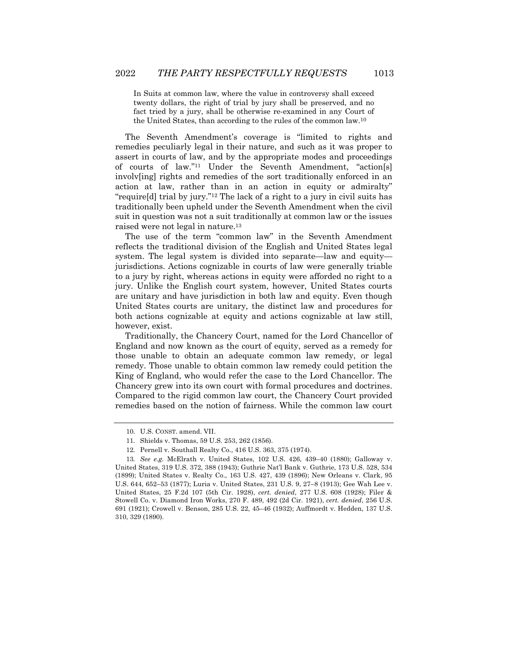In Suits at common law, where the value in controversy shall exceed twenty dollars, the right of trial by jury shall be preserved, and no fact tried by a jury, shall be otherwise re-examined in any Court of the United States, than according to the rules of the common law.10

The Seventh Amendment's coverage is "limited to rights and remedies peculiarly legal in their nature, and such as it was proper to assert in courts of law, and by the appropriate modes and proceedings of courts of law."11 Under the Seventh Amendment, "action[s] involv[ing] rights and remedies of the sort traditionally enforced in an action at law, rather than in an action in equity or admiralty" "require[d] trial by jury."12 The lack of a right to a jury in civil suits has traditionally been upheld under the Seventh Amendment when the civil suit in question was not a suit traditionally at common law or the issues raised were not legal in nature.13

The use of the term "common law" in the Seventh Amendment reflects the traditional division of the English and United States legal system. The legal system is divided into separate—law and equity jurisdictions. Actions cognizable in courts of law were generally triable to a jury by right, whereas actions in equity were afforded no right to a jury. Unlike the English court system, however, United States courts are unitary and have jurisdiction in both law and equity. Even though United States courts are unitary, the distinct law and procedures for both actions cognizable at equity and actions cognizable at law still, however, exist.

Traditionally, the Chancery Court, named for the Lord Chancellor of England and now known as the court of equity, served as a remedy for those unable to obtain an adequate common law remedy, or legal remedy. Those unable to obtain common law remedy could petition the King of England, who would refer the case to the Lord Chancellor. The Chancery grew into its own court with formal procedures and doctrines. Compared to the rigid common law court, the Chancery Court provided remedies based on the notion of fairness. While the common law court

<sup>10.</sup> U.S. CONST. amend. VII.

<sup>11.</sup> Shields v. Thomas, 59 U.S. 253, 262 (1856).

<sup>12.</sup> Pernell v. Southall Realty Co., 416 U.S. 363, 375 (1974).

<sup>13</sup>*. See e.g.* McElrath v. United States, 102 U.S. 426, 439–40 (1880); Galloway v. United States, 319 U.S. 372, 388 (1943); Guthrie Nat'l Bank v. Guthrie, 173 U.S. 528, 534 (1899); United States v. Realty Co., 163 U.S. 427, 439 (1896); New Orleans v. Clark, 95 U.S. 644, 652–53 (1877); Luria v. United States, 231 U.S. 9, 27–8 (1913); Gee Wah Lee v. United States, 25 F.2d 107 (5th Cir. 1928), *cert. denied*, 277 U.S. 608 (1928); Filer & Stowell Co. v. Diamond Iron Works, 270 F. 489, 492 (2d Cir. 1921), *cert. denied*, 256 U.S. 691 (1921); Crowell v. Benson, 285 U.S. 22, 45–46 (1932); Auffmordt v. Hedden, 137 U.S. 310, 329 (1890).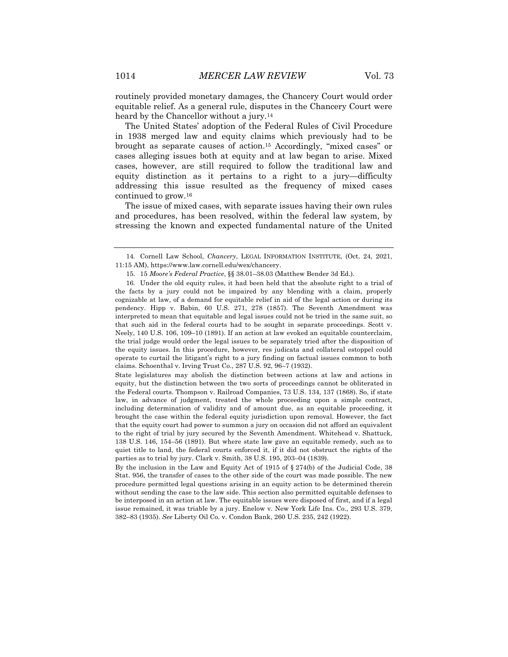routinely provided monetary damages, the Chancery Court would order equitable relief. As a general rule, disputes in the Chancery Court were heard by the Chancellor without a jury.<sup>14</sup>

The United States' adoption of the Federal Rules of Civil Procedure in 1938 merged law and equity claims which previously had to be brought as separate causes of action.15 Accordingly, "mixed cases" or cases alleging issues both at equity and at law began to arise. Mixed cases, however, are still required to follow the traditional law and equity distinction as it pertains to a right to a jury—difficulty addressing this issue resulted as the frequency of mixed cases continued to grow.16

The issue of mixed cases, with separate issues having their own rules and procedures, has been resolved, within the federal law system, by stressing the known and expected fundamental nature of the United

State legislatures may abolish the distinction between actions at law and actions in equity, but the distinction between the two sorts of proceedings cannot be obliterated in the Federal courts. Thompson v. Railroad Companies, 73 U.S. 134, 137 (1868). So, if state law, in advance of judgment, treated the whole proceeding upon a simple contract, including determination of validity and of amount due, as an equitable proceeding, it brought the case within the federal equity jurisdiction upon removal. However, the fact that the equity court had power to summon a jury on occasion did not afford an equivalent to the right of trial by jury secured by the Seventh Amendment. Whitehead v. Shattuck, 138 U.S. 146, 154–56 (1891). But where state law gave an equitable remedy, such as to quiet title to land, the federal courts enforced it, if it did not obstruct the rights of the parties as to trial by jury. Clark v. Smith, 38 U.S. 195, 203–04 (1839).

By the inclusion in the Law and Equity Act of 1915 of § 274(b) of the Judicial Code, 38 Stat. 956, the transfer of cases to the other side of the court was made possible. The new procedure permitted legal questions arising in an equity action to be determined therein without sending the case to the law side. This section also permitted equitable defenses to be interposed in an action at law. The equitable issues were disposed of first, and if a legal issue remained, it was triable by a jury. Enelow v. New York Life Ins. Co., 293 U.S. 379, 382–83 (1935). *See* Liberty Oil Co. v. Condon Bank, 260 U.S. 235, 242 (1922).

<sup>14.</sup> Cornell Law School, *Chancery*, LEGAL INFORMATION INSTITUTE, (Oct. 24, 2021, 11:15 AM), https://www.law.cornell.edu/wex/chancery.

<sup>15.</sup> 15 *Moore's Federal Practice*, §§ 38.01–38.03 (Matthew Bender 3d Ed.).

<sup>16.</sup> Under the old equity rules, it had been held that the absolute right to a trial of the facts by a jury could not be impaired by any blending with a claim, properly cognizable at law, of a demand for equitable relief in aid of the legal action or during its pendency. Hipp v. Babin, 60 U.S. 271, 278 (1857). The Seventh Amendment was interpreted to mean that equitable and legal issues could not be tried in the same suit, so that such aid in the federal courts had to be sought in separate proceedings. Scott v. Neely, 140 U.S. 106, 109–10 (1891). If an action at law evoked an equitable counterclaim, the trial judge would order the legal issues to be separately tried after the disposition of the equity issues. In this procedure, however, res judicata and collateral estoppel could operate to curtail the litigant's right to a jury finding on factual issues common to both claims. Schoenthal v. Irving Trust Co., 287 U.S. 92, 96–7 (1932).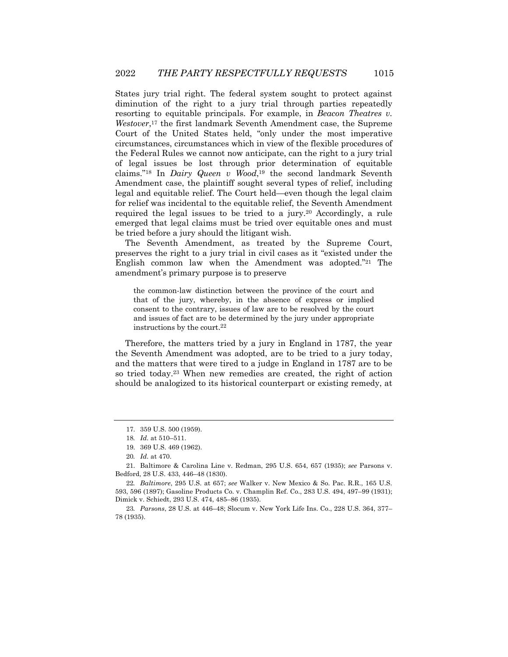States jury trial right. The federal system sought to protect against diminution of the right to a jury trial through parties repeatedly resorting to equitable principals. For example, in *Beacon Theatres v. Westover*,17 the first landmark Seventh Amendment case, the Supreme Court of the United States held, "only under the most imperative circumstances, circumstances which in view of the flexible procedures of the Federal Rules we cannot now anticipate, can the right to a jury trial of legal issues be lost through prior determination of equitable claims."18 In *Dairy Queen v Wood*,19 the second landmark Seventh Amendment case, the plaintiff sought several types of relief, including legal and equitable relief. The Court held—even though the legal claim for relief was incidental to the equitable relief, the Seventh Amendment required the legal issues to be tried to a jury.20 Accordingly, a rule emerged that legal claims must be tried over equitable ones and must be tried before a jury should the litigant wish.

The Seventh Amendment, as treated by the Supreme Court, preserves the right to a jury trial in civil cases as it "existed under the English common law when the Amendment was adopted."21 The amendment's primary purpose is to preserve

the common-law distinction between the province of the court and that of the jury, whereby, in the absence of express or implied consent to the contrary, issues of law are to be resolved by the court and issues of fact are to be determined by the jury under appropriate instructions by the court. $22$ 

Therefore, the matters tried by a jury in England in 1787, the year the Seventh Amendment was adopted, are to be tried to a jury today, and the matters that were tired to a judge in England in 1787 are to be so tried today.23 When new remedies are created, the right of action should be analogized to its historical counterpart or existing remedy, at

22*. Baltimore*, 295 U.S. at 657; *see* Walker v. New Mexico & So. Pac. R.R., 165 U.S. 593, 596 (1897); Gasoline Products Co. v. Champlin Ref. Co., 283 U.S. 494, 497–99 (1931); Dimick v. Schiedt, 293 U.S. 474, 485–86 (1935).

23*. Parsons*, 28 U.S. at 446–48; Slocum v. New York Life Ins. Co., 228 U.S. 364, 377– 78 (1935).

<sup>17.</sup> 359 U.S. 500 (1959).

<sup>18</sup>*. Id.* at 510–511.

<sup>19.</sup> 369 U.S. 469 (1962).

<sup>20</sup>*. Id.* at 470.

<sup>21.</sup> Baltimore & Carolina Line v. Redman, 295 U.S. 654, 657 (1935); *see* Parsons v. Bedford, 28 U.S. 433, 446–48 (1830).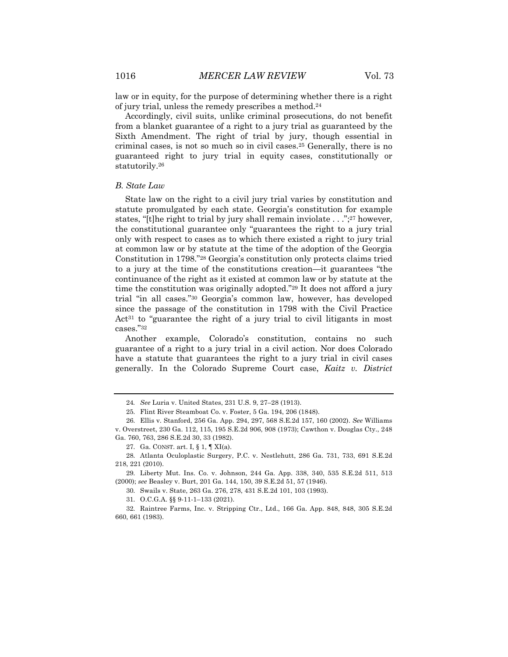law or in equity, for the purpose of determining whether there is a right of jury trial, unless the remedy prescribes a method.24

Accordingly, civil suits, unlike criminal prosecutions, do not benefit from a blanket guarantee of a right to a jury trial as guaranteed by the Sixth Amendment. The right of trial by jury, though essential in criminal cases, is not so much so in civil cases.25 Generally, there is no guaranteed right to jury trial in equity cases, constitutionally or statutorily.26

#### *B. State Law*

State law on the right to a civil jury trial varies by constitution and statute promulgated by each state. Georgia's constitution for example states, "[t]he right to trial by jury shall remain inviolate . . .";27 however, the constitutional guarantee only "guarantees the right to a jury trial only with respect to cases as to which there existed a right to jury trial at common law or by statute at the time of the adoption of the Georgia Constitution in 1798."28 Georgia's constitution only protects claims tried to a jury at the time of the constitutions creation—it guarantees "the continuance of the right as it existed at common law or by statute at the time the constitution was originally adopted."29 It does not afford a jury trial "in all cases."30 Georgia's common law, however, has developed since the passage of the constitution in 1798 with the Civil Practice Act31 to "guarantee the right of a jury trial to civil litigants in most cases."32

Another example, Colorado's constitution, contains no such guarantee of a right to a jury trial in a civil action. Nor does Colorado have a statute that guarantees the right to a jury trial in civil cases generally. In the Colorado Supreme Court case, *Kaitz v. District* 

30. Swails v. State, 263 Ga. 276, 278, 431 S.E.2d 101, 103 (1993).

<sup>24</sup>*. See* Luria v. United States, 231 U.S. 9, 27–28 (1913).

<sup>25.</sup> Flint River Steamboat Co. v. Foster, 5 Ga. 194, 206 (1848).

<sup>26.</sup> Ellis v. Stanford, 256 Ga. App. 294, 297, 568 S.E.2d 157, 160 (2002). *See* Williams v. Overstreet, 230 Ga. 112, 115, 195 S.E.2d 906, 908 (1973); Cawthon v. Douglas Cty., 248 Ga. 760, 763, 286 S.E.2d 30, 33 (1982).

<sup>27.</sup> Ga. CONST. art. I, § 1, ¶ XI(a).

<sup>28.</sup> Atlanta Oculoplastic Surgery, P.C. v. Nestlehutt, 286 Ga. 731, 733, 691 S.E.2d 218, 221 (2010).

<sup>29.</sup> Liberty Mut. Ins. Co. v. Johnson, 244 Ga. App. 338, 340, 535 S.E.2d 511, 513 (2000); *see* Beasley v. Burt, 201 Ga. 144, 150, 39 S.E.2d 51, 57 (1946).

<sup>31.</sup> O.C.G.A. §§ 9-11-1–133 (2021).

<sup>32.</sup> Raintree Farms, Inc. v. Stripping Ctr., Ltd., 166 Ga. App. 848, 848, 305 S.E.2d 660, 661 (1983).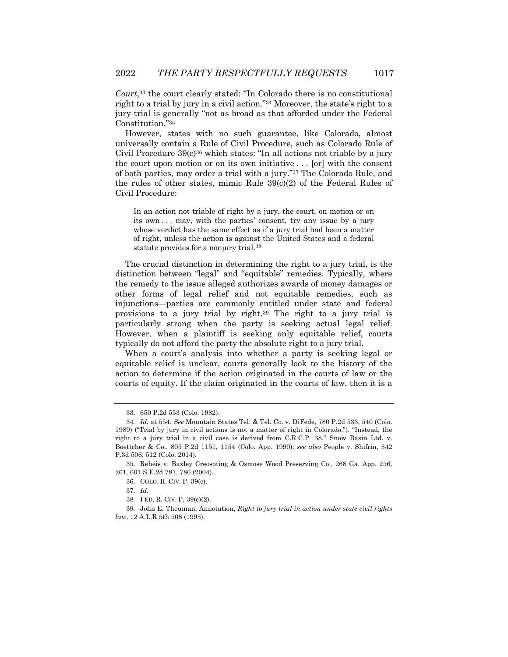*Court*,33 the court clearly stated: "In Colorado there is no constitutional right to a trial by jury in a civil action."34 Moreover, the state's right to a jury trial is generally "not as broad as that afforded under the Federal Constitution."35

However, states with no such guarantee, like Colorado, almost universally contain a Rule of Civil Procedure, such as Colorado Rule of Civil Procedure  $39(c)^{36}$  which states: "In all actions not triable by a jury the court upon motion or on its own initiative . . . [or] with the consent of both parties, may order a trial with a jury."37 The Colorado Rule, and the rules of other states, mimic Rule 39(c)(2) of the Federal Rules of Civil Procedure:

In an action not triable of right by a jury, the court, on motion or on its own . . . may, with the parties' consent, try any issue by a jury whose verdict has the same effect as if a jury trial had been a matter of right, unless the action is against the United States and a federal statute provides for a nonjury trial.38

The crucial distinction in determining the right to a jury trial, is the distinction between "legal" and "equitable" remedies. Typically, where the remedy to the issue alleged authorizes awards of money damages or other forms of legal relief and not equitable remedies, such as injunctions—parties are commonly entitled under state and federal provisions to a jury trial by right.39 The right to a jury trial is particularly strong when the party is seeking actual legal relief. However, when a plaintiff is seeking only equitable relief, courts typically do not afford the party the absolute right to a jury trial.

When a court's analysis into whether a party is seeking legal or equitable relief is unclear, courts generally look to the history of the action to determine if the action originated in the courts of law or the courts of equity. If the claim originated in the courts of law, then it is a

39. John E. Theuman, Annotation, *Right to jury trial in action under state civil rights law*, 12 A.L.R.5th 508 (1993).

<sup>33.</sup> 650 P.2d 553 (Colo. 1982).

<sup>34</sup>*. Id.* at 554. *See* Mountain States Tel. & Tel. Co. v. DiFede, 780 P.2d 533, 540 (Colo. 1989) ("Trial by jury in civil actions is not a matter of right in Colorado."). "Instead, the right to a jury trial in a civil case is derived from C.R.C.P. 38." Snow Basin Ltd. v. Boettcher & Co., 805 P.2d 1151, 1154 (Colo. App. 1990); *see also* People v. Shifrin, 342 P.3d 506, 512 (Colo. 2014).

<sup>35.</sup> Reheis v. Baxley Creosoting & Osmose Wood Preserving Co., 268 Ga. App. 256, 261, 601 S.E.2d 781, 786 (2004).

<sup>36.</sup> COLO. R. CIV. P. 39(c).

<sup>37</sup>*. Id.*

<sup>38.</sup> FED. R. CIV. P. 39(c)(2).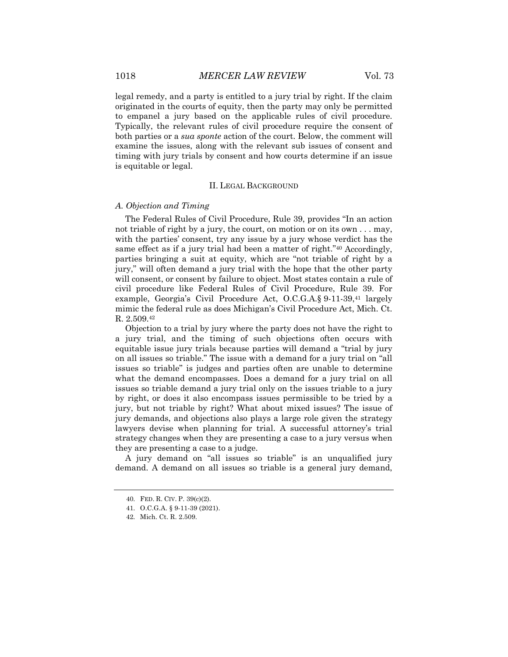legal remedy, and a party is entitled to a jury trial by right. If the claim originated in the courts of equity, then the party may only be permitted to empanel a jury based on the applicable rules of civil procedure. Typically, the relevant rules of civil procedure require the consent of both parties or a *sua sponte* action of the court. Below, the comment will examine the issues, along with the relevant sub issues of consent and timing with jury trials by consent and how courts determine if an issue is equitable or legal.

#### II. LEGAL BACKGROUND

#### *A. Objection and Timing*

The Federal Rules of Civil Procedure, Rule 39, provides "In an action not triable of right by a jury, the court, on motion or on its own . . . may, with the parties' consent, try any issue by a jury whose verdict has the same effect as if a jury trial had been a matter of right."40 Accordingly, parties bringing a suit at equity, which are "not triable of right by a jury," will often demand a jury trial with the hope that the other party will consent, or consent by failure to object. Most states contain a rule of civil procedure like Federal Rules of Civil Procedure, Rule 39. For example, Georgia's Civil Procedure Act, O.C.G.A.§ 9-11-39,41 largely mimic the federal rule as does Michigan's Civil Procedure Act, Mich. Ct. R. 2.509.42

Objection to a trial by jury where the party does not have the right to a jury trial, and the timing of such objections often occurs with equitable issue jury trials because parties will demand a "trial by jury on all issues so triable." The issue with a demand for a jury trial on "all issues so triable" is judges and parties often are unable to determine what the demand encompasses. Does a demand for a jury trial on all issues so triable demand a jury trial only on the issues triable to a jury by right, or does it also encompass issues permissible to be tried by a jury, but not triable by right? What about mixed issues? The issue of jury demands, and objections also plays a large role given the strategy lawyers devise when planning for trial. A successful attorney's trial strategy changes when they are presenting a case to a jury versus when they are presenting a case to a judge.

A jury demand on "all issues so triable" is an unqualified jury demand. A demand on all issues so triable is a general jury demand,

<sup>40.</sup> FED. R. CIV. P. 39(c)(2).

<sup>41.</sup> O.C.G.A. § 9-11-39 (2021).

<sup>42.</sup> Mich. Ct. R. 2.509.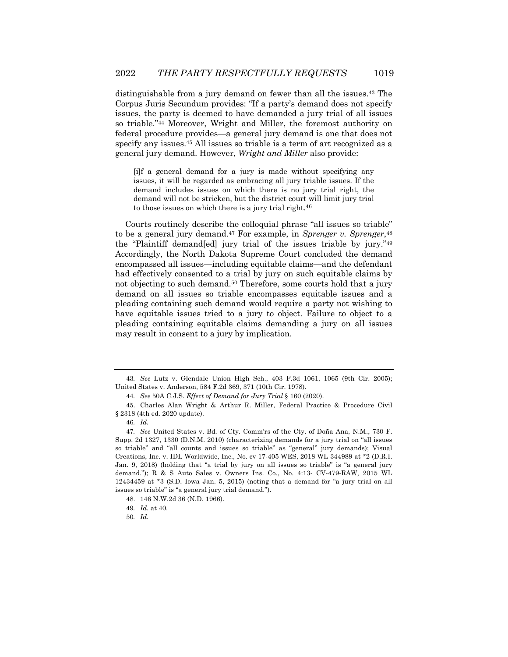distinguishable from a jury demand on fewer than all the issues.43 The Corpus Juris Secundum provides: "If a party's demand does not specify issues, the party is deemed to have demanded a jury trial of all issues so triable."44 Moreover, Wright and Miller, the foremost authority on federal procedure provides—a general jury demand is one that does not specify any issues.45 All issues so triable is a term of art recognized as a general jury demand. However, *Wright and Miller* also provide:

[i]f a general demand for a jury is made without specifying any issues, it will be regarded as embracing all jury triable issues. If the demand includes issues on which there is no jury trial right, the demand will not be stricken, but the district court will limit jury trial to those issues on which there is a jury trial right.<sup>46</sup>

Courts routinely describe the colloquial phrase "all issues so triable" to be a general jury demand.47 For example, in *Sprenger v. Sprenger*,48 the "Plaintiff demand[ed] jury trial of the issues triable by jury."49 Accordingly, the North Dakota Supreme Court concluded the demand encompassed all issues—including equitable claims—and the defendant had effectively consented to a trial by jury on such equitable claims by not objecting to such demand.<sup>50</sup> Therefore, some courts hold that a jury demand on all issues so triable encompasses equitable issues and a pleading containing such demand would require a party not wishing to have equitable issues tried to a jury to object. Failure to object to a pleading containing equitable claims demanding a jury on all issues may result in consent to a jury by implication.

<sup>43</sup>*. See* Lutz v. Glendale Union High Sch., 403 F.3d 1061, 1065 (9th Cir. 2005); United States v. Anderson, 584 F.2d 369, 371 (10th Cir. 1978).

<sup>44</sup>*. See* 50A C.J.S. *Effect of Demand for Jury Trial* § 160 (2020).

<sup>45.</sup> Charles Alan Wright & Arthur R. Miller, Federal Practice & Procedure Civil § 2318 (4th ed. 2020 update).

<sup>46</sup>*. Id.*

<sup>47</sup>*. See* United States v. Bd. of Cty. Comm'rs of the Cty. of Doña Ana, N.M., 730 F. Supp. 2d 1327, 1330 (D.N.M. 2010) (characterizing demands for a jury trial on "all issues so triable" and "all counts and issues so triable" as "general" jury demands); Visual Creations, Inc. v. IDL Worldwide, Inc., No. cv 17-405 WES, 2018 WL 344989 at \*2 (D.R.I. Jan. 9, 2018) (holding that "a trial by jury on all issues so triable" is "a general jury demand."); R & S Auto Sales v. Owners Ins. Co., No. 4:13- CV-479-RAW, 2015 WL 12434459 at \*3 (S.D. Iowa Jan. 5, 2015) (noting that a demand for "a jury trial on all issues so triable" is "a general jury trial demand.").

<sup>48.</sup> 146 N.W.2d 36 (N.D. 1966).

<sup>49</sup>*. Id.* at 40.

<sup>50</sup>*. Id.*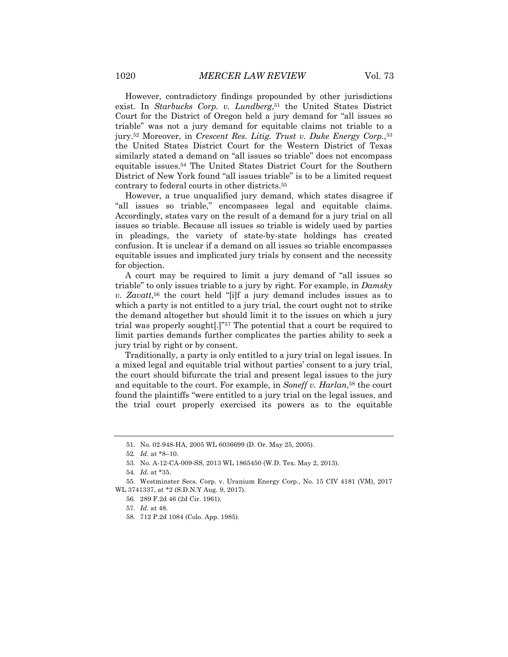However, contradictory findings propounded by other jurisdictions exist. In *Starbucks Corp. v. Lundberg*,51 the United States District Court for the District of Oregon held a jury demand for "all issues so triable" was not a jury demand for equitable claims not triable to a jury.52 Moreover, in *Crescent Res. Litig. Trust v. Duke Energy Corp.*,53 the United States District Court for the Western District of Texas similarly stated a demand on "all issues so triable" does not encompass equitable issues.54 The United States District Court for the Southern District of New York found "all issues triable" is to be a limited request contrary to federal courts in other districts.55

However, a true unqualified jury demand, which states disagree if "all issues so triable," encompasses legal and equitable claims. Accordingly, states vary on the result of a demand for a jury trial on all issues so triable. Because all issues so triable is widely used by parties in pleadings, the variety of state-by-state holdings has created confusion. It is unclear if a demand on all issues so triable encompasses equitable issues and implicated jury trials by consent and the necessity for objection.

A court may be required to limit a jury demand of "all issues so triable" to only issues triable to a jury by right. For example, in *Damsky v. Zavatt*,56 the court held "[i]f a jury demand includes issues as to which a party is not entitled to a jury trial, the court ought not to strike the demand altogether but should limit it to the issues on which a jury trial was properly sought[.]"57 The potential that a court be required to limit parties demands further complicates the parties ability to seek a jury trial by right or by consent.

Traditionally, a party is only entitled to a jury trial on legal issues. In a mixed legal and equitable trial without parties' consent to a jury trial, the court should bifurcate the trial and present legal issues to the jury and equitable to the court. For example, in *Soneff v. Harlan*,58 the court found the plaintiffs "were entitled to a jury trial on the legal issues, and the trial court properly exercised its powers as to the equitable

<sup>51.</sup> No. 02-948-HA, 2005 WL 6036699 (D. Or. May 25, 2005).

<sup>52</sup>*. Id.* at \*8–10.

<sup>53.</sup> No. A-12-CA-009-SS, 2013 WL 1865450 (W.D. Tex. May 2, 2013).

<sup>54</sup>*. Id.* at \*35.

<sup>55.</sup> Westminster Secs. Corp. v. Uranium Energy Corp., No. 15 CIV 4181 (VM), 2017 WL 3741337, at \*2 (S.D.N.Y Aug. 9, 2017).

<sup>56.</sup> 289 F.2d 46 (2d Cir. 1961).

<sup>57</sup>*. Id.* at 48.

<sup>58.</sup> 712 P.2d 1084 (Colo. App. 1985).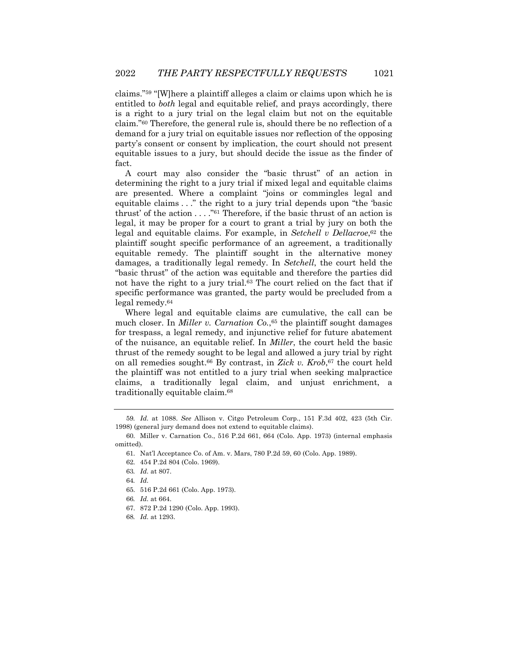claims."59 "[W]here a plaintiff alleges a claim or claims upon which he is entitled to *both* legal and equitable relief, and prays accordingly, there is a right to a jury trial on the legal claim but not on the equitable claim."60 Therefore, the general rule is, should there be no reflection of a demand for a jury trial on equitable issues nor reflection of the opposing party's consent or consent by implication, the court should not present equitable issues to a jury, but should decide the issue as the finder of fact.

A court may also consider the "basic thrust" of an action in determining the right to a jury trial if mixed legal and equitable claims are presented. Where a complaint "joins or commingles legal and equitable claims . . ." the right to a jury trial depends upon "the 'basic thrust' of the action . . . ."61 Therefore, if the basic thrust of an action is legal, it may be proper for a court to grant a trial by jury on both the legal and equitable claims. For example, in *Setchell v Dellacroe*,62 the plaintiff sought specific performance of an agreement, a traditionally equitable remedy. The plaintiff sought in the alternative money damages, a traditionally legal remedy. In *Setchell*, the court held the "basic thrust" of the action was equitable and therefore the parties did not have the right to a jury trial.63 The court relied on the fact that if specific performance was granted, the party would be precluded from a legal remedy.64

Where legal and equitable claims are cumulative, the call can be much closer. In *Miller v. Carnation Co.*,<sup>65</sup> the plaintiff sought damages for trespass, a legal remedy, and injunctive relief for future abatement of the nuisance, an equitable relief. In *Miller*, the court held the basic thrust of the remedy sought to be legal and allowed a jury trial by right on all remedies sought.66 By contrast, in *Zick v. Krob*,67 the court held the plaintiff was not entitled to a jury trial when seeking malpractice claims, a traditionally legal claim, and unjust enrichment, a traditionally equitable claim.68

- 65. 516 P.2d 661 (Colo. App. 1973).
- 66*. Id.* at 664.
- 67. 872 P.2d 1290 (Colo. App. 1993).
- 68*. Id.* at 1293.

<sup>59</sup>*. Id.* at 1088. *See* Allison v. Citgo Petroleum Corp., 151 F.3d 402, 423 (5th Cir. 1998) (general jury demand does not extend to equitable claims).

<sup>60.</sup> Miller v. Carnation Co., 516 P.2d 661, 664 (Colo. App. 1973) (internal emphasis omitted).

<sup>61.</sup> Nat'l Acceptance Co. of Am. v. Mars, 780 P.2d 59, 60 (Colo. App. 1989).

<sup>62.</sup> 454 P.2d 804 (Colo. 1969).

<sup>63</sup>*. Id.* at 807.

<sup>64</sup>*. Id.*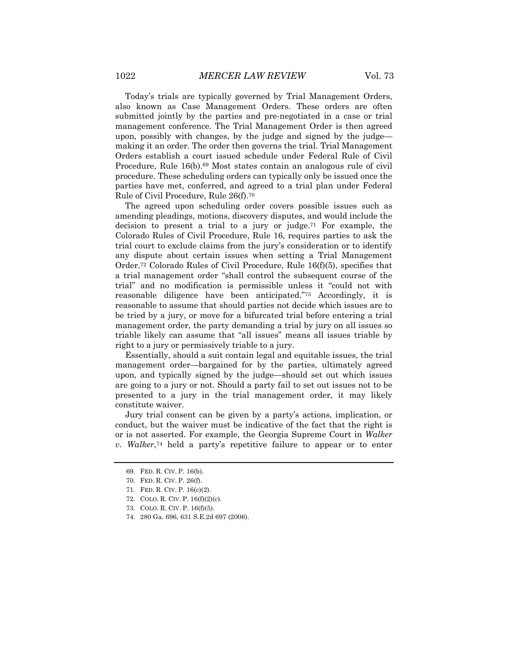Today's trials are typically governed by Trial Management Orders, also known as Case Management Orders. These orders are often submitted jointly by the parties and pre-negotiated in a case or trial management conference. The Trial Management Order is then agreed upon, possibly with changes, by the judge and signed by the judge making it an order. The order then governs the trial. Trial Management Orders establish a court issued schedule under Federal Rule of Civil Procedure, Rule 16(b).69 Most states contain an analogous rule of civil procedure. These scheduling orders can typically only be issued once the parties have met, conferred, and agreed to a trial plan under Federal Rule of Civil Procedure, Rule 26(f).70

The agreed upon scheduling order covers possible issues such as amending pleadings, motions, discovery disputes, and would include the decision to present a trial to a jury or judge.<sup>71</sup> For example, the Colorado Rules of Civil Procedure, Rule 16, requires parties to ask the trial court to exclude claims from the jury's consideration or to identify any dispute about certain issues when setting a Trial Management Order.72 Colorado Rules of Civil Procedure, Rule 16(f)(5), specifies that a trial management order "shall control the subsequent course of the trial" and no modification is permissible unless it "could not with reasonable diligence have been anticipated."73 Accordingly, it is reasonable to assume that should parties not decide which issues are to be tried by a jury, or move for a bifurcated trial before entering a trial management order, the party demanding a trial by jury on all issues so triable likely can assume that "all issues" means all issues triable by right to a jury or permissively triable to a jury.

Essentially, should a suit contain legal and equitable issues, the trial management order—bargained for by the parties, ultimately agreed upon, and typically signed by the judge—should set out which issues are going to a jury or not. Should a party fail to set out issues not to be presented to a jury in the trial management order, it may likely constitute waiver.

Jury trial consent can be given by a party's actions, implication, or conduct, but the waiver must be indicative of the fact that the right is or is not asserted. For example, the Georgia Supreme Court in *Walker v. Walker*,74 held a party's repetitive failure to appear or to enter

<sup>69.</sup> FED. R. CIV. P. 16(b).

<sup>70.</sup> FED. R. CIV. P. 26(f).

<sup>71.</sup> FED. R. CIV. P. 16(c)(2).

<sup>72.</sup> COLO. R. CIV. P. 16(f)(2)(c).

<sup>73.</sup> COLO. R. CIV. P. 16(f)(5).

<sup>74.</sup> 280 Ga. 696, 631 S.E.2d 697 (2006).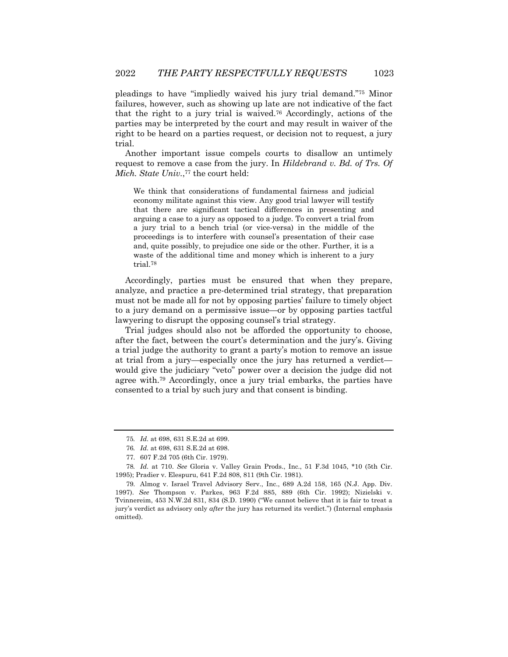pleadings to have "impliedly waived his jury trial demand."75 Minor failures, however, such as showing up late are not indicative of the fact that the right to a jury trial is waived.76 Accordingly, actions of the parties may be interpreted by the court and may result in waiver of the right to be heard on a parties request, or decision not to request, a jury trial.

Another important issue compels courts to disallow an untimely request to remove a case from the jury. In *Hildebrand v. Bd. of Trs. Of Mich. State Univ.*,<sup>77</sup> the court held:

We think that considerations of fundamental fairness and judicial economy militate against this view. Any good trial lawyer will testify that there are significant tactical differences in presenting and arguing a case to a jury as opposed to a judge. To convert a trial from a jury trial to a bench trial (or vice-versa) in the middle of the proceedings is to interfere with counsel's presentation of their case and, quite possibly, to prejudice one side or the other. Further, it is a waste of the additional time and money which is inherent to a jury trial.78

Accordingly, parties must be ensured that when they prepare, analyze, and practice a pre-determined trial strategy, that preparation must not be made all for not by opposing parties' failure to timely object to a jury demand on a permissive issue—or by opposing parties tactful lawyering to disrupt the opposing counsel's trial strategy.

Trial judges should also not be afforded the opportunity to choose, after the fact, between the court's determination and the jury's. Giving a trial judge the authority to grant a party's motion to remove an issue at trial from a jury—especially once the jury has returned a verdict would give the judiciary "veto" power over a decision the judge did not agree with.79 Accordingly, once a jury trial embarks, the parties have consented to a trial by such jury and that consent is binding.

<sup>75</sup>*. Id.* at 698, 631 S.E.2d at 699.

<sup>76</sup>*. Id.* at 698, 631 S.E.2d at 698.

<sup>77.</sup> 607 F.2d 705 (6th Cir. 1979).

<sup>78</sup>*. Id.* at 710. *See* Gloria v. Valley Grain Prods., Inc., 51 F.3d 1045, \*10 (5th Cir. 1995); Pradier v. Elespuru, 641 F.2d 808, 811 (9th Cir. 1981).

<sup>79.</sup> Almog v. Israel Travel Advisory Serv., Inc., 689 A.2d 158, 165 (N.J. App. Div. 1997). *See* Thompson v. Parkes, 963 F.2d 885, 889 (6th Cir. 1992); Nizielski v. Tvinnereim, 453 N.W.2d 831, 834 (S.D. 1990) ("We cannot believe that it is fair to treat a jury's verdict as advisory only *after* the jury has returned its verdict.") (Internal emphasis omitted).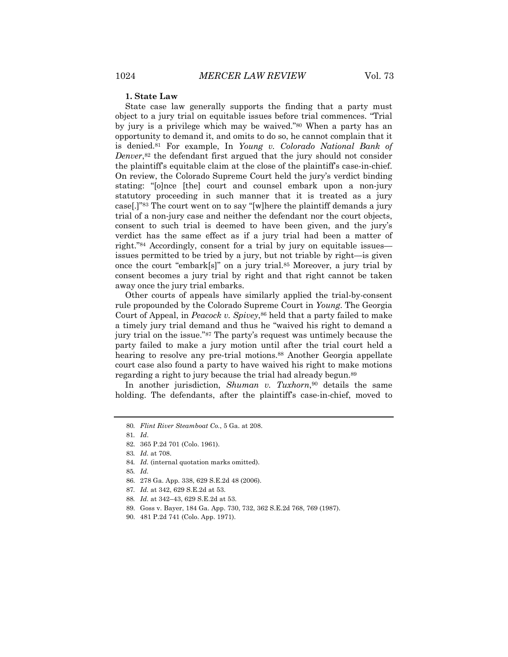#### **1. State Law**

State case law generally supports the finding that a party must object to a jury trial on equitable issues before trial commences. "Trial by jury is a privilege which may be waived."80 When a party has an opportunity to demand it, and omits to do so, he cannot complain that it is denied.81 For example, In *Young v. Colorado National Bank of Denver*,82 the defendant first argued that the jury should not consider the plaintiff's equitable claim at the close of the plaintiff's case-in-chief. On review, the Colorado Supreme Court held the jury's verdict binding stating: "[o]nce [the] court and counsel embark upon a non-jury statutory proceeding in such manner that it is treated as a jury case[.]"83 The court went on to say "[w]here the plaintiff demands a jury trial of a non-jury case and neither the defendant nor the court objects, consent to such trial is deemed to have been given, and the jury's verdict has the same effect as if a jury trial had been a matter of right."84 Accordingly, consent for a trial by jury on equitable issues issues permitted to be tried by a jury, but not triable by right—is given once the court "embark[s]" on a jury trial.85 Moreover, a jury trial by consent becomes a jury trial by right and that right cannot be taken away once the jury trial embarks.

Other courts of appeals have similarly applied the trial-by-consent rule propounded by the Colorado Supreme Court in *Young*. The Georgia Court of Appeal, in *Peacock v. Spivey*,<sup>86</sup> held that a party failed to make a timely jury trial demand and thus he "waived his right to demand a jury trial on the issue."87 The party's request was untimely because the party failed to make a jury motion until after the trial court held a hearing to resolve any pre-trial motions.<sup>88</sup> Another Georgia appellate court case also found a party to have waived his right to make motions regarding a right to jury because the trial had already begun.<sup>89</sup>

In another jurisdiction, *Shuman v. Tuxhorn*,<sup>90</sup> details the same holding. The defendants, after the plaintiff's case-in-chief, moved to

89. Goss v. Bayer, 184 Ga. App. 730, 732, 362 S.E.2d 768, 769 (1987).

<sup>80</sup>*. Flint River Steamboat Co.*, 5 Ga. at 208.

<sup>81</sup>*. Id*.

<sup>82.</sup> 365 P.2d 701 (Colo. 1961).

<sup>83</sup>*. Id.* at 708.

<sup>84</sup>*. Id.* (internal quotation marks omitted).

<sup>85</sup>*. Id.*

<sup>86.</sup> 278 Ga. App. 338, 629 S.E.2d 48 (2006).

<sup>87</sup>*. Id.* at 342, 629 S.E.2d at 53.

<sup>88</sup>*. Id.* at 342–43, 629 S.E.2d at 53.

<sup>90.</sup> 481 P.2d 741 (Colo. App. 1971).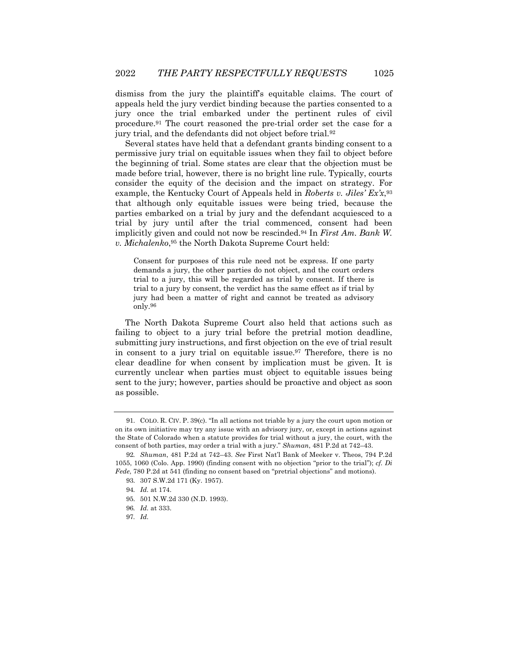dismiss from the jury the plaintiff's equitable claims. The court of appeals held the jury verdict binding because the parties consented to a jury once the trial embarked under the pertinent rules of civil procedure.91 The court reasoned the pre-trial order set the case for a jury trial, and the defendants did not object before trial.92

Several states have held that a defendant grants binding consent to a permissive jury trial on equitable issues when they fail to object before the beginning of trial. Some states are clear that the objection must be made before trial, however, there is no bright line rule. Typically, courts consider the equity of the decision and the impact on strategy. For example, the Kentucky Court of Appeals held in *Roberts v. Jiles' Ex'x*,93 that although only equitable issues were being tried, because the parties embarked on a trial by jury and the defendant acquiesced to a trial by jury until after the trial commenced, consent had been implicitly given and could not now be rescinded.94 In *First Am. Bank W. v. Michalenko*,95 the North Dakota Supreme Court held:

Consent for purposes of this rule need not be express. If one party demands a jury, the other parties do not object, and the court orders trial to a jury, this will be regarded as trial by consent. If there is trial to a jury by consent, the verdict has the same effect as if trial by jury had been a matter of right and cannot be treated as advisory only.96

The North Dakota Supreme Court also held that actions such as failing to object to a jury trial before the pretrial motion deadline, submitting jury instructions, and first objection on the eve of trial result in consent to a jury trial on equitable issue.<sup>97</sup> Therefore, there is no clear deadline for when consent by implication must be given. It is currently unclear when parties must object to equitable issues being sent to the jury; however, parties should be proactive and object as soon as possible.

<sup>91.</sup> COLO. R. CIV. P. 39(c). "In all actions not triable by a jury the court upon motion or on its own initiative may try any issue with an advisory jury, or, except in actions against the State of Colorado when a statute provides for trial without a jury, the court, with the consent of both parties, may order a trial with a jury." *Shuman*, 481 P.2d at 742–43.

<sup>92</sup>*. Shuman*, 481 P.2d at 742–43. *See* First Nat'l Bank of Meeker v. Theos, 794 P.2d 1055, 1060 (Colo. App. 1990) (finding consent with no objection "prior to the trial"); *cf. Di Fede*, 780 P.2d at 541 (finding no consent based on "pretrial objections" and motions).

<sup>93.</sup> 307 S.W.2d 171 (Ky. 1957).

<sup>94</sup>*. Id.* at 174.

<sup>95.</sup> 501 N.W.2d 330 (N.D. 1993).

<sup>96</sup>*. Id.* at 333.

<sup>97</sup>*. Id.*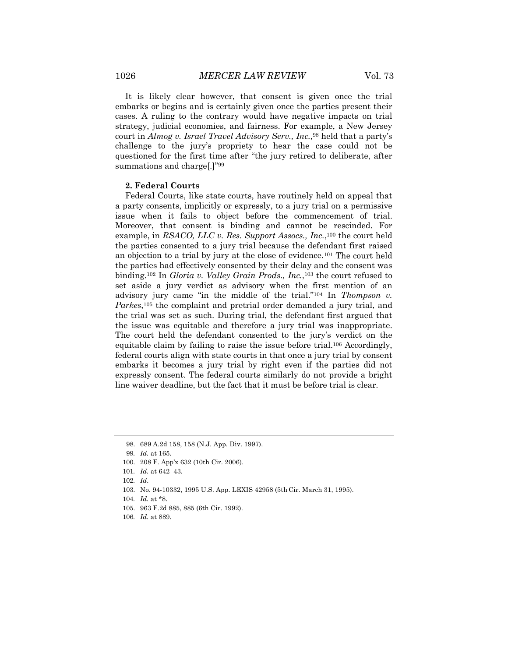It is likely clear however, that consent is given once the trial embarks or begins and is certainly given once the parties present their cases. A ruling to the contrary would have negative impacts on trial strategy, judicial economies, and fairness. For example, a New Jersey court in *Almog v. Israel Travel Advisory Serv., Inc.*,98 held that a party's challenge to the jury's propriety to hear the case could not be questioned for the first time after "the jury retired to deliberate, after summations and charge[.]"99

#### **2. Federal Courts**

Federal Courts, like state courts, have routinely held on appeal that a party consents, implicitly or expressly, to a jury trial on a permissive issue when it fails to object before the commencement of trial. Moreover, that consent is binding and cannot be rescinded. For example, in *RSACO, LLC v. Res. Support Assocs., Inc.*,100 the court held the parties consented to a jury trial because the defendant first raised an objection to a trial by jury at the close of evidence.101 The court held the parties had effectively consented by their delay and the consent was binding.102 In *Gloria v. Valley Grain Prods., Inc.*,103 the court refused to set aside a jury verdict as advisory when the first mention of an advisory jury came "in the middle of the trial."104 In *Thompson v.*  Parkes,<sup>105</sup> the complaint and pretrial order demanded a jury trial, and the trial was set as such. During trial, the defendant first argued that the issue was equitable and therefore a jury trial was inappropriate. The court held the defendant consented to the jury's verdict on the equitable claim by failing to raise the issue before trial.106 Accordingly, federal courts align with state courts in that once a jury trial by consent embarks it becomes a jury trial by right even if the parties did not expressly consent. The federal courts similarly do not provide a bright line waiver deadline, but the fact that it must be before trial is clear.

105. 963 F.2d 885, 885 (6th Cir. 1992).

<sup>98.</sup> 689 A.2d 158, 158 (N.J. App. Div. 1997).

<sup>99</sup>*. Id.* at 165.

<sup>100.</sup> 208 F. App'x 632 (10th Cir. 2006).

<sup>101</sup>*. Id.* at 642–43.

<sup>102</sup>*. Id*.

<sup>103.</sup> No. 94-10332, 1995 U.S. App. LEXIS 42958 (5th Cir. March 31, 1995).

<sup>104</sup>*. Id.* at \*8.

<sup>106</sup>*. Id.* at 889.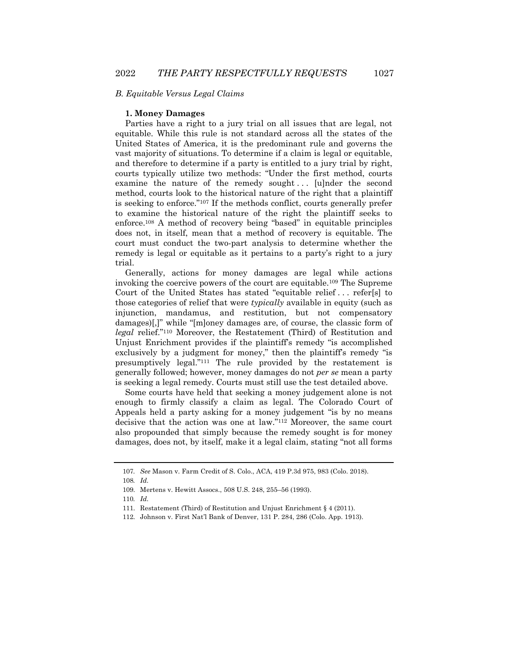#### *B. Equitable Versus Legal Claims*

#### **1. Money Damages**

Parties have a right to a jury trial on all issues that are legal, not equitable. While this rule is not standard across all the states of the United States of America, it is the predominant rule and governs the vast majority of situations. To determine if a claim is legal or equitable, and therefore to determine if a party is entitled to a jury trial by right, courts typically utilize two methods: "Under the first method, courts examine the nature of the remedy sought... [u]nder the second method, courts look to the historical nature of the right that a plaintiff is seeking to enforce."107 If the methods conflict, courts generally prefer to examine the historical nature of the right the plaintiff seeks to enforce.108 A method of recovery being "based" in equitable principles does not, in itself, mean that a method of recovery is equitable. The court must conduct the two-part analysis to determine whether the remedy is legal or equitable as it pertains to a party's right to a jury trial.

Generally, actions for money damages are legal while actions invoking the coercive powers of the court are equitable.109 The Supreme Court of the United States has stated "equitable relief . . . refer[s] to those categories of relief that were *typically* available in equity (such as injunction, mandamus, and restitution, but not compensatory damages)[,]" while "[m]oney damages are, of course, the classic form of *legal* relief."110 Moreover, the Restatement (Third) of Restitution and Unjust Enrichment provides if the plaintiff's remedy "is accomplished exclusively by a judgment for money," then the plaintiff's remedy "is presumptively legal."111 The rule provided by the restatement is generally followed; however, money damages do not *per se* mean a party is seeking a legal remedy. Courts must still use the test detailed above.

Some courts have held that seeking a money judgement alone is not enough to firmly classify a claim as legal. The Colorado Court of Appeals held a party asking for a money judgement "is by no means decisive that the action was one at law."112 Moreover, the same court also propounded that simply because the remedy sought is for money damages, does not, by itself, make it a legal claim, stating "not all forms

<sup>107</sup>*. See* Mason v. Farm Credit of S. Colo., ACA, 419 P.3d 975, 983 (Colo. 2018).

<sup>108</sup>*. Id.*

<sup>109.</sup> Mertens v. Hewitt Assocs., 508 U.S. 248, 255–56 (1993).

<sup>110</sup>*. Id.*

<sup>111.</sup> Restatement (Third) of Restitution and Unjust Enrichment § 4 (2011).

<sup>112.</sup> Johnson v. First Nat'l Bank of Denver, 131 P. 284, 286 (Colo. App. 1913).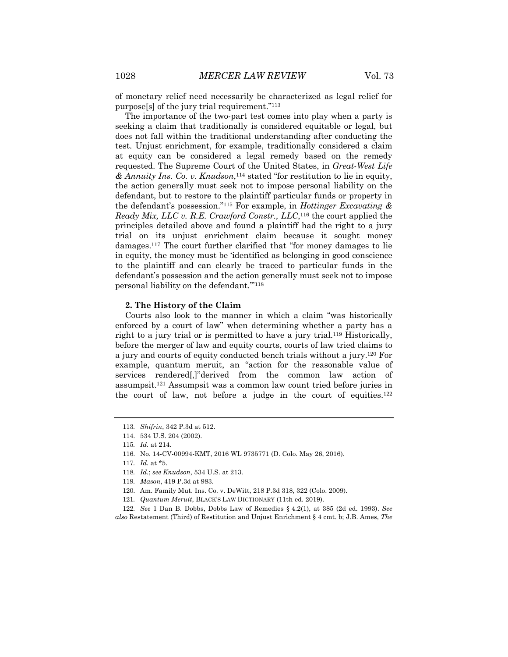of monetary relief need necessarily be characterized as legal relief for purpose[s] of the jury trial requirement."113

The importance of the two-part test comes into play when a party is seeking a claim that traditionally is considered equitable or legal, but does not fall within the traditional understanding after conducting the test. Unjust enrichment, for example, traditionally considered a claim at equity can be considered a legal remedy based on the remedy requested. The Supreme Court of the United States, in *Great-West Life & Annuity Ins. Co. v. Knudson*,114 stated "for restitution to lie in equity, the action generally must seek not to impose personal liability on the defendant, but to restore to the plaintiff particular funds or property in the defendant's possession."115 For example, in *Hottinger Excavating & Ready Mix, LLC v. R.E. Crawford Constr., LLC*,116 the court applied the principles detailed above and found a plaintiff had the right to a jury trial on its unjust enrichment claim because it sought money damages.117 The court further clarified that "for money damages to lie in equity, the money must be 'identified as belonging in good conscience to the plaintiff and can clearly be traced to particular funds in the defendant's possession and the action generally must seek not to impose personal liability on the defendant.'"118

#### **2. The History of the Claim**

Courts also look to the manner in which a claim "was historically enforced by a court of law" when determining whether a party has a right to a jury trial or is permitted to have a jury trial.119 Historically, before the merger of law and equity courts, courts of law tried claims to a jury and courts of equity conducted bench trials without a jury.120 For example, quantum meruit, an "action for the reasonable value of services rendered[,]"derived from the common law action of assumpsit.121 Assumpsit was a common law count tried before juries in the court of law, not before a judge in the court of equities. $122$ 

- 118*. Id.*; *see Knudson*, 534 U.S. at 213.
- 119*. Mason*, 419 P.3d at 983.
- 120. Am. Family Mut. Ins. Co. v. DeWitt, 218 P.3d 318, 322 (Colo. 2009).
- 121*. Quantum Meruit*, BLACK'S LAW DICTIONARY (11th ed. 2019).

122*. See* 1 Dan B. Dobbs, Dobbs Law of Remedies § 4.2(1), at 385 (2d ed. 1993). *See also* Restatement (Third) of Restitution and Unjust Enrichment § 4 cmt. b; J.B. Ames, *The* 

<sup>113</sup>*. Shifrin*, 342 P.3d at 512.

<sup>114.</sup> 534 U.S. 204 (2002).

<sup>115</sup>*. Id.* at 214.

<sup>116.</sup> No. 14-CV-00994-KMT, 2016 WL 9735771 (D. Colo. May 26, 2016).

<sup>117</sup>*. Id.* at \*5.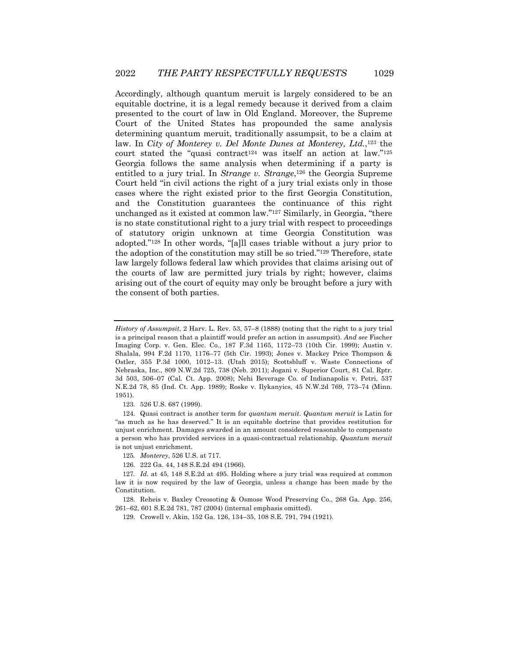Accordingly, although quantum meruit is largely considered to be an equitable doctrine, it is a legal remedy because it derived from a claim presented to the court of law in Old England. Moreover, the Supreme Court of the United States has propounded the same analysis determining quantum meruit, traditionally assumpsit, to be a claim at law. In *City of Monterey v. Del Monte Dunes at Monterey, Ltd.*,123 the court stated the "quasi contract<sup>124</sup> was itself an action at law."<sup>125</sup> Georgia follows the same analysis when determining if a party is entitled to a jury trial. In *Strange v. Strange*,<sup>126</sup> the Georgia Supreme Court held "in civil actions the right of a jury trial exists only in those cases where the right existed prior to the first Georgia Constitution, and the Constitution guarantees the continuance of this right unchanged as it existed at common law."127 Similarly, in Georgia, "there is no state constitutional right to a jury trial with respect to proceedings of statutory origin unknown at time Georgia Constitution was adopted."128 In other words, "[a]ll cases triable without a jury prior to the adoption of the constitution may still be so tried."129 Therefore, state law largely follows federal law which provides that claims arising out of the courts of law are permitted jury trials by right; however, claims arising out of the court of equity may only be brought before a jury with the consent of both parties.

123. 526 U.S. 687 (1999).

124. Quasi contract is another term for *quantum meruit*. *Quantum meruit* is Latin for "as much as he has deserved." It is an equitable doctrine that provides restitution for unjust enrichment. Damages awarded in an amount considered reasonable to compensate a person who has provided services in a quasi-contractual relationship. *Quantum meruit* is not unjust enrichment.

128. Reheis v. Baxley Creosoting & Osmose Wood Preserving Co., 268 Ga. App. 256, 261–62, 601 S.E.2d 781, 787 (2004) (internal emphasis omitted).

*History of Assumpsit*, 2 Harv. L. Rev. 53, 57–8 (1888) (noting that the right to a jury trial is a principal reason that a plaintiff would prefer an action in assumpsit). *And see* Fischer Imaging Corp. v. Gen. Elec. Co., 187 F.3d 1165, 1172–73 (10th Cir. 1999); Austin v. Shalala, 994 F.2d 1170, 1176–77 (5th Cir. 1993); Jones v. Mackey Price Thompson & Ostler, 355 P.3d 1000, 1012–13. (Utah 2015); Scottsbluff v. Waste Connections of Nebraska, Inc., 809 N.W.2d 725, 738 (Neb. 2011); Jogani v. Superior Court, 81 Cal. Rptr. 3d 503, 506–07 (Cal. Ct. App. 2008); Nehi Beverage Co. of Indianapolis v. Petri, 537 N.E.2d 78, 85 (Ind. Ct. App. 1989); Roske v. Ilykanyics, 45 N.W.2d 769, 773–74 (Minn. 1951).

<sup>125</sup>*. Monterey*, 526 U.S. at 717.

<sup>126.</sup> 222 Ga. 44, 148 S.E.2d 494 (1966).

<sup>127</sup>*. Id.* at 45, 148 S.E.2d at 495. Holding where a jury trial was required at common law it is now required by the law of Georgia, unless a change has been made by the Constitution.

<sup>129.</sup> Crowell v. Akin, 152 Ga. 126, 134–35, 108 S.E. 791, 794 (1921).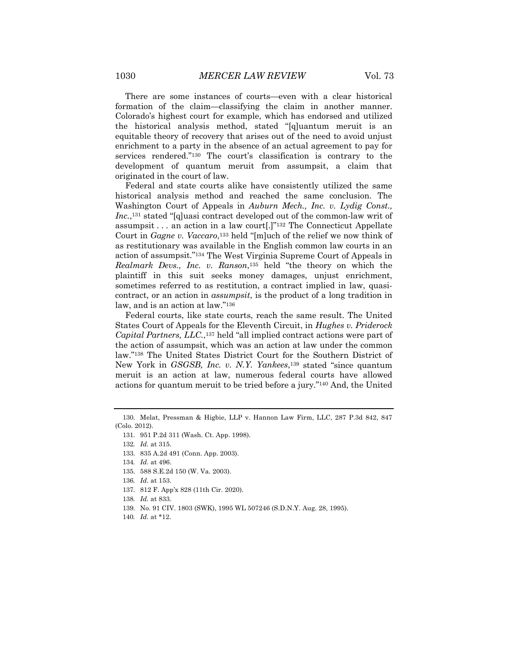There are some instances of courts—even with a clear historical formation of the claim—classifying the claim in another manner. Colorado's highest court for example, which has endorsed and utilized the historical analysis method, stated "[q]uantum meruit is an equitable theory of recovery that arises out of the need to avoid unjust enrichment to a party in the absence of an actual agreement to pay for services rendered."130 The court's classification is contrary to the development of quantum meruit from assumpsit, a claim that originated in the court of law.

Federal and state courts alike have consistently utilized the same historical analysis method and reached the same conclusion. The Washington Court of Appeals in *Auburn Mech., Inc. v. Lydig Const., Inc.*,131 stated "[q]uasi contract developed out of the common-law writ of assumpsit  $\ldots$  an action in a law court  $\lceil \cdot \rceil^{332}$  The Connecticut Appellate Court in *Gagne v. Vaccaro*,133 held "[m]uch of the relief we now think of as restitutionary was available in the English common law courts in an action of assumpsit."134 The West Virginia Supreme Court of Appeals in *Realmark Devs., Inc. v. Ranson*,135 held "the theory on which the plaintiff in this suit seeks money damages, unjust enrichment, sometimes referred to as restitution, a contract implied in law, quasicontract, or an action in *assumpsit*, is the product of a long tradition in law, and is an action at law."136

Federal courts, like state courts, reach the same result. The United States Court of Appeals for the Eleventh Circuit, in *Hughes v. Priderock Capital Partners, LLC.*,137 held "all implied contract actions were part of the action of assumpsit, which was an action at law under the common law."138 The United States District Court for the Southern District of New York in *GSGSB, Inc. v. N.Y. Yankees*,139 stated "since quantum meruit is an action at law, numerous federal courts have allowed actions for quantum meruit to be tried before a jury."140 And, the United

- 139. No. 91 CIV. 1803 (SWK), 1995 WL 507246 (S.D.N.Y. Aug. 28, 1995).
- 140*. Id.* at \*12.

<sup>130.</sup> Melat, Pressman & Higbie, LLP v. Hannon Law Firm, LLC, 287 P.3d 842, 847 (Colo. 2012).

<sup>131.</sup> 951 P.2d 311 (Wash. Ct. App. 1998).

<sup>132</sup>*. Id.* at 315.

<sup>133.</sup> 835 A.2d 491 (Conn. App. 2003).

<sup>134</sup>*. Id.* at 496.

<sup>135.</sup> 588 S.E.2d 150 (W. Va. 2003).

<sup>136</sup>*. Id.* at 153.

<sup>137.</sup> 812 F. App'x 828 (11th Cir. 2020).

<sup>138</sup>*. Id.* at 833.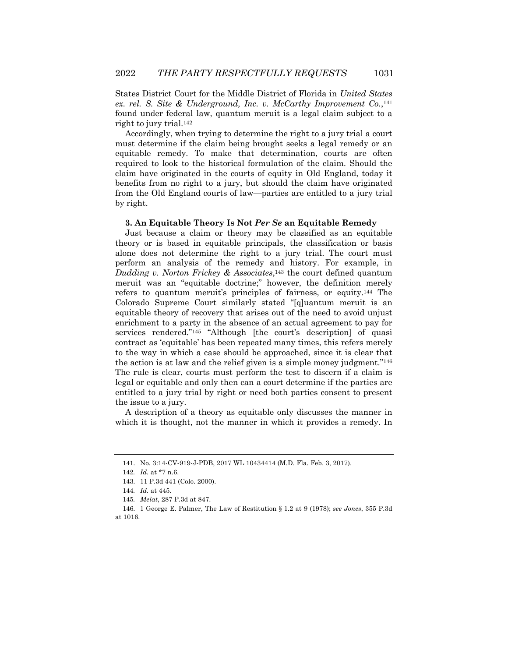States District Court for the Middle District of Florida in *United States ex. rel. S. Site & Underground, Inc. v. McCarthy Improvement Co.*,141 found under federal law, quantum meruit is a legal claim subject to a right to jury trial.142

Accordingly, when trying to determine the right to a jury trial a court must determine if the claim being brought seeks a legal remedy or an equitable remedy. To make that determination, courts are often required to look to the historical formulation of the claim. Should the claim have originated in the courts of equity in Old England, today it benefits from no right to a jury, but should the claim have originated from the Old England courts of law—parties are entitled to a jury trial by right.

#### **3. An Equitable Theory Is Not** *Per Se* **an Equitable Remedy**

Just because a claim or theory may be classified as an equitable theory or is based in equitable principals, the classification or basis alone does not determine the right to a jury trial. The court must perform an analysis of the remedy and history. For example, in *Dudding v. Norton Frickey & Associates*,143 the court defined quantum meruit was an "equitable doctrine;" however, the definition merely refers to quantum meruit's principles of fairness, or equity.144 The Colorado Supreme Court similarly stated "[q]uantum meruit is an equitable theory of recovery that arises out of the need to avoid unjust enrichment to a party in the absence of an actual agreement to pay for services rendered."<sup>145</sup> "Although [the court's description] of quasi contract as 'equitable' has been repeated many times, this refers merely to the way in which a case should be approached, since it is clear that the action is at law and the relief given is a simple money judgment."146 The rule is clear, courts must perform the test to discern if a claim is legal or equitable and only then can a court determine if the parties are entitled to a jury trial by right or need both parties consent to present the issue to a jury.

A description of a theory as equitable only discusses the manner in which it is thought, not the manner in which it provides a remedy. In

<sup>141.</sup> No. 3:14-CV-919-J-PDB, 2017 WL 10434414 (M.D. Fla. Feb. 3, 2017).

<sup>142</sup>*. Id.* at \*7 n.6.

<sup>143.</sup> 11 P.3d 441 (Colo. 2000).

<sup>144</sup>*. Id.* at 445.

<sup>145</sup>*. Melat*, 287 P.3d at 847.

<sup>146.</sup> 1 George E. Palmer, The Law of Restitution § 1.2 at 9 (1978); *see Jones*, 355 P.3d at 1016.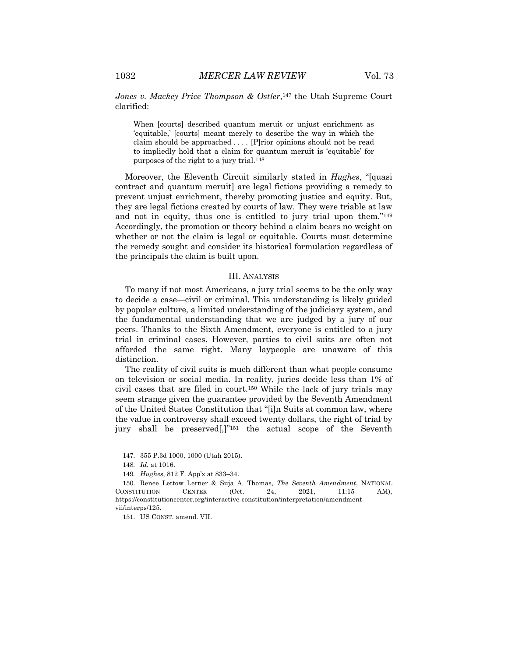Jones v. Mackey Price Thompson & Ostler,<sup>147</sup> the Utah Supreme Court clarified:

When [courts] described quantum meruit or unjust enrichment as 'equitable,' [courts] meant merely to describe the way in which the claim should be approached . . . . [P]rior opinions should not be read to impliedly hold that a claim for quantum meruit is 'equitable' for purposes of the right to a jury trial.<sup>148</sup>

Moreover, the Eleventh Circuit similarly stated in *Hughes*, "[quasi contract and quantum meruit] are legal fictions providing a remedy to prevent unjust enrichment, thereby promoting justice and equity. But, they are legal fictions created by courts of law. They were triable at law and not in equity, thus one is entitled to jury trial upon them."149 Accordingly, the promotion or theory behind a claim bears no weight on whether or not the claim is legal or equitable. Courts must determine the remedy sought and consider its historical formulation regardless of the principals the claim is built upon.

#### III. ANALYSIS

To many if not most Americans, a jury trial seems to be the only way to decide a case—civil or criminal. This understanding is likely guided by popular culture, a limited understanding of the judiciary system, and the fundamental understanding that we are judged by a jury of our peers. Thanks to the Sixth Amendment, everyone is entitled to a jury trial in criminal cases. However, parties to civil suits are often not afforded the same right. Many laypeople are unaware of this distinction.

The reality of civil suits is much different than what people consume on television or social media. In reality, juries decide less than 1% of civil cases that are filed in court.150 While the lack of jury trials may seem strange given the guarantee provided by the Seventh Amendment of the United States Constitution that "[i]n Suits at common law, where the value in controversy shall exceed twenty dollars, the right of trial by jury shall be preserved[,]"151 the actual scope of the Seventh

<sup>147.</sup> 355 P.3d 1000, 1000 (Utah 2015).

<sup>148</sup>*. Id.* at 1016.

<sup>149</sup>*. Hughes*, 812 F. App'x at 833–34.

<sup>150.</sup> Renee Lettow Lerner & Suja A. Thomas, *The Seventh Amendment*, NATIONAL CONSTITUTION CENTER (Oct. 24, 2021, 11:15 AM), https://constitutioncenter.org/interactive-constitution/interpretation/amendmentvii/interps/125.

<sup>151.</sup> US CONST. amend. VII.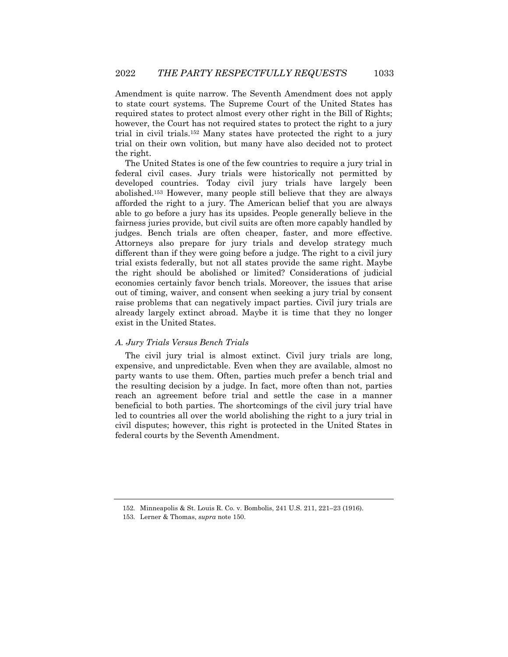Amendment is quite narrow. The Seventh Amendment does not apply to state court systems. The Supreme Court of the United States has required states to protect almost every other right in the Bill of Rights; however, the Court has not required states to protect the right to a jury trial in civil trials.152 Many states have protected the right to a jury trial on their own volition, but many have also decided not to protect the right.

The United States is one of the few countries to require a jury trial in federal civil cases. Jury trials were historically not permitted by developed countries. Today civil jury trials have largely been abolished.153 However, many people still believe that they are always afforded the right to a jury. The American belief that you are always able to go before a jury has its upsides. People generally believe in the fairness juries provide, but civil suits are often more capably handled by judges. Bench trials are often cheaper, faster, and more effective. Attorneys also prepare for jury trials and develop strategy much different than if they were going before a judge. The right to a civil jury trial exists federally, but not all states provide the same right. Maybe the right should be abolished or limited? Considerations of judicial economies certainly favor bench trials. Moreover, the issues that arise out of timing, waiver, and consent when seeking a jury trial by consent raise problems that can negatively impact parties. Civil jury trials are already largely extinct abroad. Maybe it is time that they no longer exist in the United States.

#### *A. Jury Trials Versus Bench Trials*

The civil jury trial is almost extinct. Civil jury trials are long, expensive, and unpredictable. Even when they are available, almost no party wants to use them. Often, parties much prefer a bench trial and the resulting decision by a judge. In fact, more often than not, parties reach an agreement before trial and settle the case in a manner beneficial to both parties. The shortcomings of the civil jury trial have led to countries all over the world abolishing the right to a jury trial in civil disputes; however, this right is protected in the United States in federal courts by the Seventh Amendment.

<sup>152.</sup> Minneapolis & St. Louis R. Co. v. Bombolis, 241 U.S. 211, 221–23 (1916).

<sup>153.</sup> Lerner & Thomas, *supra* note 150.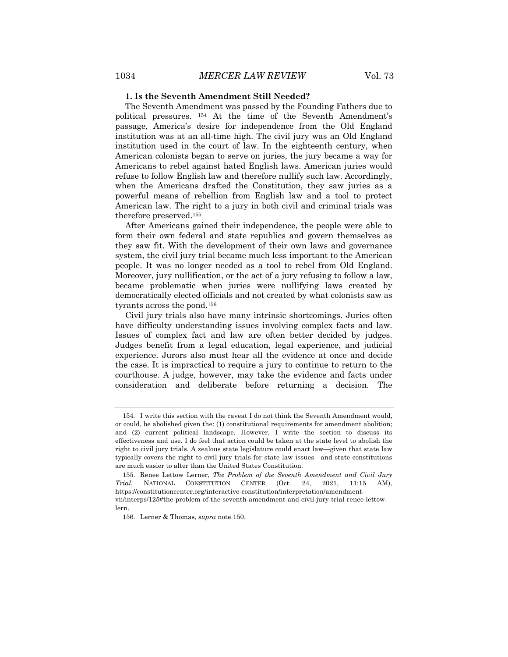#### **1. Is the Seventh Amendment Still Needed?**

The Seventh Amendment was passed by the Founding Fathers due to political pressures. 154 At the time of the Seventh Amendment's passage, America's desire for independence from the Old England institution was at an all-time high. The civil jury was an Old England institution used in the court of law. In the eighteenth century, when American colonists began to serve on juries, the jury became a way for Americans to rebel against hated English laws. American juries would refuse to follow English law and therefore nullify such law. Accordingly, when the Americans drafted the Constitution, they saw juries as a powerful means of rebellion from English law and a tool to protect American law. The right to a jury in both civil and criminal trials was therefore preserved.155

After Americans gained their independence, the people were able to form their own federal and state republics and govern themselves as they saw fit. With the development of their own laws and governance system, the civil jury trial became much less important to the American people. It was no longer needed as a tool to rebel from Old England. Moreover, jury nullification, or the act of a jury refusing to follow a law, became problematic when juries were nullifying laws created by democratically elected officials and not created by what colonists saw as tyrants across the pond.156

Civil jury trials also have many intrinsic shortcomings. Juries often have difficulty understanding issues involving complex facts and law. Issues of complex fact and law are often better decided by judges. Judges benefit from a legal education, legal experience, and judicial experience. Jurors also must hear all the evidence at once and decide the case. It is impractical to require a jury to continue to return to the courthouse. A judge, however, may take the evidence and facts under consideration and deliberate before returning a decision. The

<sup>154.</sup> I write this section with the caveat I do not think the Seventh Amendment would, or could, be abolished given the: (1) constitutional requirements for amendment abolition; and (2) current political landscape. However, I write the section to discuss its effectiveness and use. I do feel that action could be taken at the state level to abolish the right to civil jury trials. A zealous state legislature could enact law—given that state law typically covers the right to civil jury trials for state law issues—and state constitutions are much easier to alter than the United States Constitution.

<sup>155.</sup> Renee Lettow Lerner, *The Problem of the Seventh Amendment and Civil Jury Trial*, NATIONAL CONSTITUTION CENTER (Oct. 24, 2021, 11:15 AM), https://constitutioncenter.org/interactive-constitution/interpretation/amendmentvii/interps/125#the-problem-of-the-seventh-amendment-and-civil-jury-trial-renee-lettowlern.

<sup>156.</sup> Lerner & Thomas, *supra* note 150.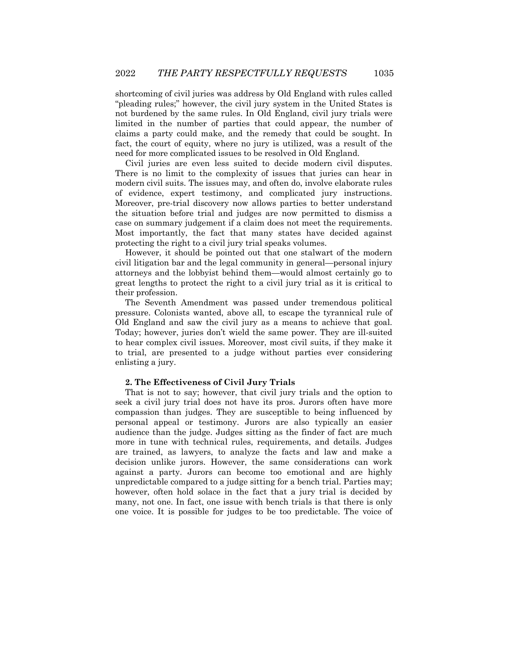shortcoming of civil juries was address by Old England with rules called "pleading rules;" however, the civil jury system in the United States is not burdened by the same rules. In Old England, civil jury trials were limited in the number of parties that could appear, the number of claims a party could make, and the remedy that could be sought. In fact, the court of equity, where no jury is utilized, was a result of the need for more complicated issues to be resolved in Old England.

Civil juries are even less suited to decide modern civil disputes. There is no limit to the complexity of issues that juries can hear in modern civil suits. The issues may, and often do, involve elaborate rules of evidence, expert testimony, and complicated jury instructions. Moreover, pre-trial discovery now allows parties to better understand the situation before trial and judges are now permitted to dismiss a case on summary judgement if a claim does not meet the requirements. Most importantly, the fact that many states have decided against protecting the right to a civil jury trial speaks volumes.

However, it should be pointed out that one stalwart of the modern civil litigation bar and the legal community in general—personal injury attorneys and the lobbyist behind them—would almost certainly go to great lengths to protect the right to a civil jury trial as it is critical to their profession.

The Seventh Amendment was passed under tremendous political pressure. Colonists wanted, above all, to escape the tyrannical rule of Old England and saw the civil jury as a means to achieve that goal. Today; however, juries don't wield the same power. They are ill-suited to hear complex civil issues. Moreover, most civil suits, if they make it to trial, are presented to a judge without parties ever considering enlisting a jury.

#### **2. The Effectiveness of Civil Jury Trials**

That is not to say; however, that civil jury trials and the option to seek a civil jury trial does not have its pros. Jurors often have more compassion than judges. They are susceptible to being influenced by personal appeal or testimony. Jurors are also typically an easier audience than the judge. Judges sitting as the finder of fact are much more in tune with technical rules, requirements, and details. Judges are trained, as lawyers, to analyze the facts and law and make a decision unlike jurors. However, the same considerations can work against a party. Jurors can become too emotional and are highly unpredictable compared to a judge sitting for a bench trial. Parties may; however, often hold solace in the fact that a jury trial is decided by many, not one. In fact, one issue with bench trials is that there is only one voice. It is possible for judges to be too predictable. The voice of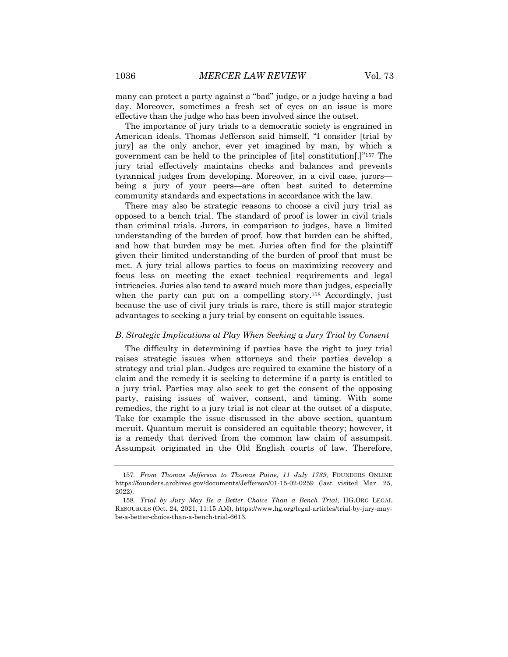many can protect a party against a "bad" judge, or a judge having a bad day. Moreover, sometimes a fresh set of eyes on an issue is more effective than the judge who has been involved since the outset.

The importance of jury trials to a democratic society is engrained in American ideals. Thomas Jefferson said himself, "I consider [trial by jury] as the only anchor, ever yet imagined by man, by which a government can be held to the principles of [its] constitution[.]"157 The jury trial effectively maintains checks and balances and prevents tyrannical judges from developing. Moreover, in a civil case, jurors being a jury of your peers—are often best suited to determine community standards and expectations in accordance with the law.

There may also be strategic reasons to choose a civil jury trial as opposed to a bench trial. The standard of proof is lower in civil trials than criminal trials. Jurors, in comparison to judges, have a limited understanding of the burden of proof, how that burden can be shifted, and how that burden may be met. Juries often find for the plaintiff given their limited understanding of the burden of proof that must be met. A jury trial allows parties to focus on maximizing recovery and focus less on meeting the exact technical requirements and legal intricacies. Juries also tend to award much more than judges, especially when the party can put on a compelling story.<sup>158</sup> Accordingly, just because the use of civil jury trials is rare, there is still major strategic advantages to seeking a jury trial by consent on equitable issues.

#### *B. Strategic Implications at Play When Seeking a Jury Trial by Consent*

The difficulty in determining if parties have the right to jury trial raises strategic issues when attorneys and their parties develop a strategy and trial plan. Judges are required to examine the history of a claim and the remedy it is seeking to determine if a party is entitled to a jury trial. Parties may also seek to get the consent of the opposing party, raising issues of waiver, consent, and timing. With some remedies, the right to a jury trial is not clear at the outset of a dispute. Take for example the issue discussed in the above section, quantum meruit. Quantum meruit is considered an equitable theory; however, it is a remedy that derived from the common law claim of assumpsit. Assumpsit originated in the Old English courts of law. Therefore,

<sup>157</sup>*. From Thomas Jefferson to Thomas Paine, 11 July 1789*, FOUNDERS ONLINE https://founders.archives.gov/documents/Jefferson/01-15-02-0259 (last visited Mar. 25, 2022).

<sup>158</sup>*. Trial by Jury May Be a Better Choice Than a Bench Trial*, HG.ORG LEGAL RESOURCES (Oct. 24, 2021, 11:15 AM), https://www.hg.org/legal-articles/trial-by-jury-maybe-a-better-choice-than-a-bench-trial-6613.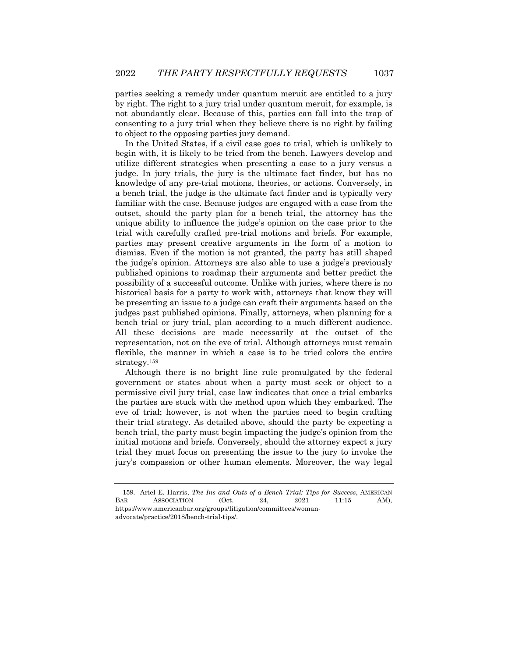parties seeking a remedy under quantum meruit are entitled to a jury by right. The right to a jury trial under quantum meruit, for example, is not abundantly clear. Because of this, parties can fall into the trap of consenting to a jury trial when they believe there is no right by failing to object to the opposing parties jury demand.

In the United States, if a civil case goes to trial, which is unlikely to begin with, it is likely to be tried from the bench. Lawyers develop and utilize different strategies when presenting a case to a jury versus a judge. In jury trials, the jury is the ultimate fact finder, but has no knowledge of any pre-trial motions, theories, or actions. Conversely, in a bench trial, the judge is the ultimate fact finder and is typically very familiar with the case. Because judges are engaged with a case from the outset, should the party plan for a bench trial, the attorney has the unique ability to influence the judge's opinion on the case prior to the trial with carefully crafted pre-trial motions and briefs. For example, parties may present creative arguments in the form of a motion to dismiss. Even if the motion is not granted, the party has still shaped the judge's opinion. Attorneys are also able to use a judge's previously published opinions to roadmap their arguments and better predict the possibility of a successful outcome. Unlike with juries, where there is no historical basis for a party to work with, attorneys that know they will be presenting an issue to a judge can craft their arguments based on the judges past published opinions. Finally, attorneys, when planning for a bench trial or jury trial, plan according to a much different audience. All these decisions are made necessarily at the outset of the representation, not on the eve of trial. Although attorneys must remain flexible, the manner in which a case is to be tried colors the entire strategy.159

Although there is no bright line rule promulgated by the federal government or states about when a party must seek or object to a permissive civil jury trial, case law indicates that once a trial embarks the parties are stuck with the method upon which they embarked. The eve of trial; however, is not when the parties need to begin crafting their trial strategy. As detailed above, should the party be expecting a bench trial, the party must begin impacting the judge's opinion from the initial motions and briefs. Conversely, should the attorney expect a jury trial they must focus on presenting the issue to the jury to invoke the jury's compassion or other human elements. Moreover, the way legal

<sup>159.</sup> Ariel E. Harris, *The Ins and Outs of a Bench Trial: Tips for Success*, AMERICAN BAR ASSOCIATION (Oct. 24, 2021 11:15 AM), https://www.americanbar.org/groups/litigation/committees/womanadvocate/practice/2018/bench-trial-tips/.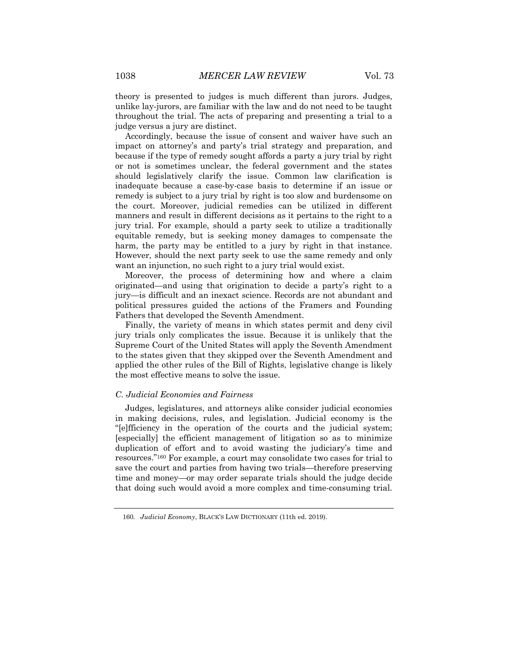theory is presented to judges is much different than jurors. Judges, unlike lay-jurors, are familiar with the law and do not need to be taught throughout the trial. The acts of preparing and presenting a trial to a judge versus a jury are distinct.

Accordingly, because the issue of consent and waiver have such an impact on attorney's and party's trial strategy and preparation, and because if the type of remedy sought affords a party a jury trial by right or not is sometimes unclear, the federal government and the states should legislatively clarify the issue. Common law clarification is inadequate because a case-by-case basis to determine if an issue or remedy is subject to a jury trial by right is too slow and burdensome on the court. Moreover, judicial remedies can be utilized in different manners and result in different decisions as it pertains to the right to a jury trial. For example, should a party seek to utilize a traditionally equitable remedy, but is seeking money damages to compensate the harm, the party may be entitled to a jury by right in that instance. However, should the next party seek to use the same remedy and only want an injunction, no such right to a jury trial would exist.

Moreover, the process of determining how and where a claim originated—and using that origination to decide a party's right to a jury—is difficult and an inexact science. Records are not abundant and political pressures guided the actions of the Framers and Founding Fathers that developed the Seventh Amendment.

Finally, the variety of means in which states permit and deny civil jury trials only complicates the issue. Because it is unlikely that the Supreme Court of the United States will apply the Seventh Amendment to the states given that they skipped over the Seventh Amendment and applied the other rules of the Bill of Rights, legislative change is likely the most effective means to solve the issue.

#### *C. Judicial Economies and Fairness*

Judges, legislatures, and attorneys alike consider judicial economies in making decisions, rules, and legislation. Judicial economy is the "[e]fficiency in the operation of the courts and the judicial system; [especially] the efficient management of litigation so as to minimize duplication of effort and to avoid wasting the judiciary's time and resources."160 For example, a court may consolidate two cases for trial to save the court and parties from having two trials—therefore preserving time and money—or may order separate trials should the judge decide that doing such would avoid a more complex and time-consuming trial.

<sup>160</sup>*. Judicial Economy*, BLACK'S LAW DICTIONARY (11th ed. 2019).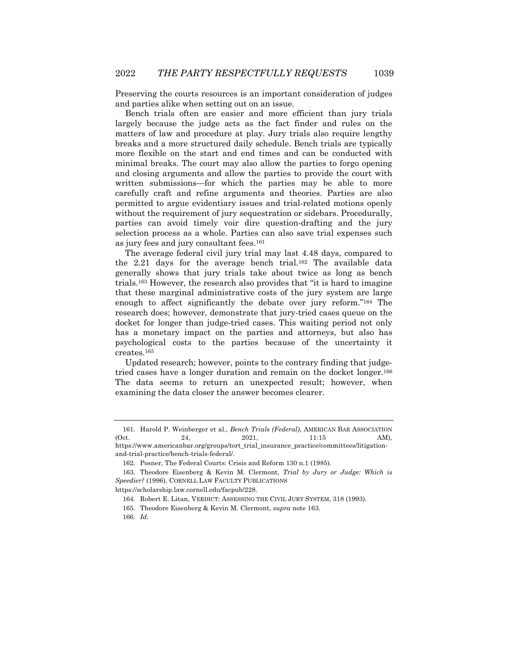Preserving the courts resources is an important consideration of judges and parties alike when setting out on an issue.

Bench trials often are easier and more efficient than jury trials largely because the judge acts as the fact finder and rules on the matters of law and procedure at play. Jury trials also require lengthy breaks and a more structured daily schedule. Bench trials are typically more flexible on the start and end times and can be conducted with minimal breaks. The court may also allow the parties to forgo opening and closing arguments and allow the parties to provide the court with written submissions—for which the parties may be able to more carefully craft and refine arguments and theories. Parties are also permitted to argue evidentiary issues and trial-related motions openly without the requirement of jury sequestration or sidebars. Procedurally, parties can avoid timely voir dire question-drafting and the jury selection process as a whole. Parties can also save trial expenses such as jury fees and jury consultant fees.161

The average federal civil jury trial may last 4.48 days, compared to the 2.21 days for the average bench trial.162 The available data generally shows that jury trials take about twice as long as bench trials.163 However, the research also provides that "it is hard to imagine that these marginal administrative costs of the jury system are large enough to affect significantly the debate over jury reform."164 The research does; however, demonstrate that jury-tried cases queue on the docket for longer than judge-tried cases. This waiting period not only has a monetary impact on the parties and attorneys, but also has psychological costs to the parties because of the uncertainty it creates.165

Updated research; however, points to the contrary finding that judgetried cases have a longer duration and remain on the docket longer.166 The data seems to return an unexpected result; however, when examining the data closer the answer becomes clearer.

https://scholarship.law.cornell.edu/facpub/228.

<sup>161.</sup> Harold P. Weinberger et al., *Bench Trials (Federal)*, AMERICAN BAR ASSOCIATION (Oct. 24, 2021, 11:15 AM), https://www.americanbar.org/groups/tort\_trial\_insurance\_practice/committees/litigationand-trial-practice/bench-trials-federal/.

<sup>162.</sup> Posner, The Federal Courts: Crisis and Reform 130 n.1 (1985).

<sup>163.</sup> Theodore Eisenberg & Kevin M. Clermont, *Trial by Jury or Judge: Which is Speedier?* (1996), CORNELL LAW FACULTY PUBLICATIONS

<sup>164.</sup> Robert E. Litan, VERDICT: ASSESSING THE CIVIL JURY SYSTEM, 318 (1993).

<sup>165.</sup> Theodore Eisenberg & Kevin M. Clermont, *supra* note 163.

<sup>166</sup>*. Id.*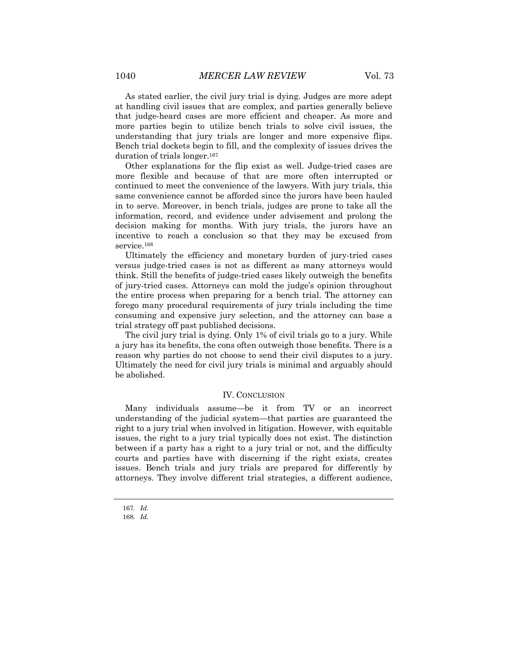As stated earlier, the civil jury trial is dying. Judges are more adept at handling civil issues that are complex, and parties generally believe that judge-heard cases are more efficient and cheaper. As more and more parties begin to utilize bench trials to solve civil issues, the understanding that jury trials are longer and more expensive flips. Bench trial dockets begin to fill, and the complexity of issues drives the duration of trials longer.<sup>167</sup>

Other explanations for the flip exist as well. Judge-tried cases are more flexible and because of that are more often interrupted or continued to meet the convenience of the lawyers. With jury trials, this same convenience cannot be afforded since the jurors have been hauled in to serve. Moreover, in bench trials, judges are prone to take all the information, record, and evidence under advisement and prolong the decision making for months. With jury trials, the jurors have an incentive to reach a conclusion so that they may be excused from service.<sup>168</sup>

Ultimately the efficiency and monetary burden of jury-tried cases versus judge-tried cases is not as different as many attorneys would think. Still the benefits of judge-tried cases likely outweigh the benefits of jury-tried cases. Attorneys can mold the judge's opinion throughout the entire process when preparing for a bench trial. The attorney can forego many procedural requirements of jury trials including the time consuming and expensive jury selection, and the attorney can base a trial strategy off past published decisions.

The civil jury trial is dying. Only 1% of civil trials go to a jury. While a jury has its benefits, the cons often outweigh those benefits. There is a reason why parties do not choose to send their civil disputes to a jury. Ultimately the need for civil jury trials is minimal and arguably should be abolished.

#### IV. CONCLUSION

Many individuals assume—be it from TV or an incorrect understanding of the judicial system—that parties are guaranteed the right to a jury trial when involved in litigation. However, with equitable issues, the right to a jury trial typically does not exist. The distinction between if a party has a right to a jury trial or not, and the difficulty courts and parties have with discerning if the right exists, creates issues. Bench trials and jury trials are prepared for differently by attorneys. They involve different trial strategies, a different audience,

<sup>167</sup>*. Id.*

<sup>168</sup>*. Id.*